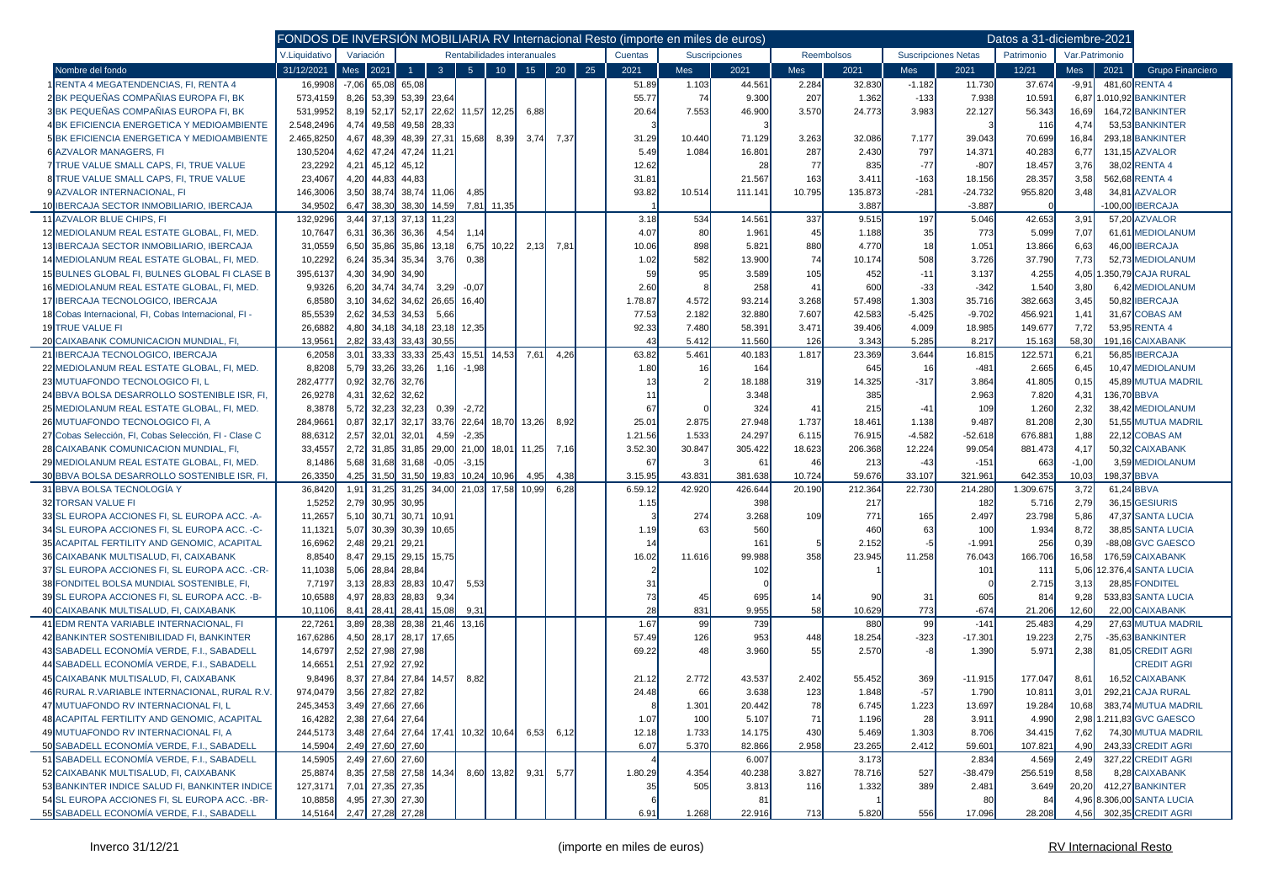|                                                       |               |         |                                          | FONDOS DE INVERSIÓN MOBILIARIA RV Internacional Resto (importe en miles de euros) |                |                |                   |               |      |            |         |                            |            |                |         |            |           | Datos a 31-diciembre-2021 |         |             |                           |
|-------------------------------------------------------|---------------|---------|------------------------------------------|-----------------------------------------------------------------------------------|----------------|----------------|-------------------|---------------|------|------------|---------|----------------------------|------------|----------------|---------|------------|-----------|---------------------------|---------|-------------|---------------------------|
|                                                       | V.Liquidativo |         | Variación<br>Rentabilidades interanuales |                                                                                   |                | Cuentas        |                   | Suscripciones |      | Reembolsos |         | <b>Suscripciones Netas</b> | Patrimonio | Var.Patrimonio |         |            |           |                           |         |             |                           |
| Nombre del fondo                                      | 31/12/2021    |         | Mes 2021                                 | 1                                                                                 | 3 <sup>7</sup> | 5 <sup>1</sup> | 10 <sup>°</sup>   | 15            | 20   | 25         | 2021    | <b>Mes</b>                 | 2021       | <b>Mes</b>     | 2021    | <b>Mes</b> | 2021      | 12/21                     | Mes     | 2021        | Grupo Financiero          |
| RENTA 4 MEGATENDENCIAS, FI, RENTA 4                   | 16,9908       | $-7,06$ | 65,08                                    | 65,08                                                                             |                |                |                   |               |      |            | 51.89   | 1.103                      | 44.561     | 2.284          | 32.830  | $-1.182$   | 11.730    | 37.674                    | $-9,91$ |             | 481,60 RENTA 4            |
| 2BK PEQUEÑAS COMPAÑIAS EUROPA FI, BK                  | 573,4159      | 8,26    | 53,39                                    | 53,39                                                                             | 23,64          |                |                   |               |      |            | 55.77   | 74                         | 9.300      | 207            | 1.362   | $-133$     | 7.938     | 10.591                    | 6,87    |             | .010,92 BANKINTER         |
| 3BK PEQUEÑAS COMPAÑIAS EUROPA FI, BK                  | 531,9952      | 8,19    | 52,17                                    | 52,17                                                                             |                |                | 22,62 11,57 12,25 | 6,88          |      |            | 20.64   | 7.553                      | 46.900     | 3.570          | 24.773  | 3.983      | 22.127    | 56.343                    | 16,69   |             | 164,72 BANKINTER          |
| <b>4 BK EFICIENCIA ENERGETICA Y MEDIOAMBIENTE</b>     | 2.548,2496    | 4,74    | 49,58                                    | 49,58                                                                             | 28,33          |                |                   |               |      |            |         |                            |            |                |         |            |           | 116                       | 4,74    |             | 53,53 BANKINTER           |
| <b>5 BK EFICIENCIA ENERGETICA Y MEDIOAMBIENTE</b>     | 2.465,8250    | 4,67    | 48,39                                    | 48,39                                                                             | 27,31          | 15,68          | 8,39              | 3,74          | 7,37 |            | 31.29   | 10.440                     | 71.129     | 3.263          | 32.086  | 7.177      | 39.043    | 70.699                    | 16,84   |             | 293,18 BANKINTER          |
| <b>6 AZVALOR MANAGERS. FI</b>                         | 130,5204      | 4,62    | 47,24                                    | 47,24                                                                             | 11,21          |                |                   |               |      |            | 5.49    | 1.084                      | 16.801     | 287            | 2.430   | 797        | 14.371    | 40.283                    | 6,77    |             | 131,15 AZVALOR            |
| 7 TRUE VALUE SMALL CAPS, FI, TRUE VALUE               | 23,2292       | 4,21    | 45,12                                    | 45,12                                                                             |                |                |                   |               |      |            | 12.62   |                            | 28         | 77             | 835     | $-77$      | $-807$    | 18.457                    | 3,76    |             | 38,02 RENTA 4             |
| 8 TRUE VALUE SMALL CAPS, FI, TRUE VALUE               | 23,4067       | 4,20    | 44,83                                    | 44,83                                                                             |                |                |                   |               |      |            | 31.81   |                            | 21.567     | 163            | 3.411   | $-163$     | 18.156    | 28.357                    | 3,58    |             | 562,68 RENTA 4            |
| 9 AZVALOR INTERNACIONAL. FI                           | 146,3006      | 3,50    | 38,74                                    | 38,74                                                                             | 11.06          | 4,85           |                   |               |      |            | 93.82   | 10.514                     | 111.141    | 10.795         | 135.873 | $-281$     | $-24.732$ | 955.820                   | 3.48    |             | 34,81 AZVALOR             |
| 10 IBERCAJA SECTOR INMOBILIARIO, IBERCAJA             | 34.9502       | 6.47    | 38.30                                    | 38.30                                                                             | 14.59          |                | 7.81 11,35        |               |      |            |         |                            |            |                | 3.887   |            | $-3.887$  |                           |         |             | 100,00 IBERCAJA           |
| <b>11 AZVALOR BLUE CHIPS. FI</b>                      | 132,9296      | 3,44    | 37,13                                    | 37,13                                                                             | 11,23          |                |                   |               |      |            | 3.18    | 534                        | 14.561     | 337            | 9.515   | 197        | 5.046     | 42.653                    | 3,91    |             | 57,20 AZVALOR             |
| 12 MEDIOLANUM REAL ESTATE GLOBAL, FI, MED.            | 10,7647       | 6,31    | 36,36                                    | 36,36                                                                             | 4,54           | 1.14           |                   |               |      |            | 4.07    | 80                         | 1.961      | 45             | 1.188   | 35         | 773       | 5.099                     | 7,07    |             | 61,61 MEDIOLANUM          |
| 13 IBERCAJA SECTOR INMOBILIARIO, IBERCAJA             | 31,0559       | 6,50    | 35,86                                    | 35,86                                                                             | 13,18          | 6,75           | 10,22             | 2,13          | 7,81 |            | 10.06   | 898                        | 5.821      | 880            | 4.770   | 18         | 1.051     | 13.866                    | 6,63    |             | 46,00 <b>IBERCAJA</b>     |
| 14 MEDIOLANUM REAL ESTATE GLOBAL, FI, MED.            | 10,2292       | 6,24    | 35,34                                    | 35,34                                                                             | 3,76           | 0,38           |                   |               |      |            | 1.02    | 582                        | 13.900     | 74             | 10.174  | 508        | 3.726     | 37.790                    | 7,73    |             | 52,73 MEDIOLANUM          |
| 15 BULNES GLOBAL FI, BULNES GLOBAL FI CLASE B         | 395,6137      | 4,30    | 34,90                                    | 34,90                                                                             |                |                |                   |               |      |            | 59      | 95                         | 3.589      | 105            | 452     | $-11$      | 3.137     | 4.255                     | 4,05    |             | .350,79 CAJA RURAL        |
| 16 MEDIOLANUM REAL ESTATE GLOBAL, FI, MED.            | 9,9326        | 6,20    | 34,74                                    | 34,74                                                                             | 3,29           | $-0,07$        |                   |               |      |            | 2.60    |                            | 258        | 41             | 600     | $-33$      | $-342$    | 1.540                     | 3,80    |             | 6,42 MEDIOLANUM           |
| 17 IBERCAJA TECNOLOGICO, IBERCAJA                     | 6,8580        | 3,10    | 34,62                                    | 34,62                                                                             | 26,65          | 16,40          |                   |               |      |            | 1.78.87 | 4.572                      | 93.214     | 3.268          | 57.498  | 1.303      | 35.716    | 382.663                   | 3,45    |             | 50,82 IBERCAJA            |
| 18 Cobas Internacional, FI, Cobas Internacional, FI - | 85,5539       | 2,62    | 34,53                                    | 34,53                                                                             | 5,66           |                |                   |               |      |            | 77.53   | 2.182                      | 32.880     | 7.607          | 42.583  | $-5.425$   | $-9.702$  | 456.921                   | 1,41    |             | 31,67 COBAS AM            |
| <b>19 TRUE VALUE FI</b>                               | 26,6882       | 4,80    | 34,18                                    | 34,18                                                                             | 23,18          | 12,35          |                   |               |      |            | 92.33   | 7.480                      | 58.391     | 3.471          | 39.406  | 4.009      | 18.985    | 149.677                   | 7,72    |             | 53,95 RENTA 4             |
| 20 CAIXABANK COMUNICACION MUNDIAL, FI,                | 13,956        | 2,82    | 33.43                                    | 33.43                                                                             | 30.55          |                |                   |               |      |            | 4:      | 5.412                      | 11.560     | 126            | 3.343   | 5.285      | 8.217     | 15.163                    | 58,30   |             | 191,16 CAIXABANK          |
| 21 IBERCAJA TECNOLOGICO, IBERCAJA                     | 6,2058        | 3,01    | 33,33                                    | 33,33                                                                             | 25,43          | 15,51          | 14.53             | 7,61          | 4,26 |            | 63.82   | 5.461                      | 40.183     | 1.817          | 23.369  | 3.644      | 16.815    | 122.571                   | 6,21    |             | 56,85 IBERCAJA            |
| 22 MEDIOLANUM REAL ESTATE GLOBAL, FI, MED.            | 8,8208        | 5,79    | 33,26                                    | 33,26                                                                             | 1.16           | $-1,98$        |                   |               |      |            | 1.80    | 16                         | 164        |                | 645     | 16         | $-481$    | 2.665                     | 6,45    |             | 10,47 MEDIOLANUM          |
| 23 MUTUAFONDO TECNOLOGICO FI. L                       | 282,4777      | 0,92    | 32,76                                    | 32,76                                                                             |                |                |                   |               |      |            | -13     |                            | 18.188     | 319            | 14.325  | $-317$     | 3.864     | 41.805                    | 0, 15   |             | 45.89 MUTUA MADRIL        |
| 24 BBVA BOLSA DESARROLLO SOSTENIBLE ISR, FI,          | 26,9278       | 4,31    | 32,62                                    | 32,62                                                                             |                |                |                   |               |      |            | 11      |                            | 3.348      |                | 385     |            | 2.963     | 7.820                     | 4,31    | 136,70 BBVA |                           |
| 25 MEDIOLANUM REAL ESTATE GLOBAL. FI. MED.            | 8,3878        | 5,72    | 32,23                                    | 32,23                                                                             | 0,39           | $-2,72$        |                   |               |      |            | 67      |                            | 324        | -41            | 215     | $-41$      | 109       | 1.260                     | 2,32    |             | 38,42 MEDIOLANUM          |
| 26 MUTUAFONDO TECNOLOGICO FI, A                       | 284,9661      | 0,87    | 32,17                                    | 32,17                                                                             |                | 33,76 22,64    |                   | 18,70 13,26   | 8,92 |            | 25.01   | 2.875                      | 27.948     | 1.737          | 18.461  | 1.138      | 9.487     | 81.208                    | 2,30    |             | 51.55 MUTUA MADRIL        |
| 27 Cobas Selección, FI, Cobas Selección, FI - Clase C | 88,6312       | 2,57    | 32,01                                    | 32,01                                                                             | 4,59           | $-2,35$        |                   |               |      |            | 1.21.56 | 1.533                      | 24.297     | 6.115          | 76.915  | $-4.582$   | $-52.618$ | 676.881                   | 1,88    |             | 22,12 COBAS AM            |
| 28 CAIXABANK COMUNICACION MUNDIAL, FI.                | 33,4557       | 2,72    | 31,85                                    | 31,85                                                                             |                | 29,00 21,00    |                   | 18,01 11,25   | 7,16 |            | 3.52.30 | 30.847                     | 305.422    | 18.623         | 206.368 | 12.224     | 99.054    | 881.473                   | 4,17    |             | 50,32 CAIXABANK           |
| 29 MEDIOLANUM REAL ESTATE GLOBAL. FI. MED.            | 8,1486        | 5,68    | 31,68                                    | 31,68                                                                             | $-0.05$        | $-3,15$        |                   |               |      |            | 6       |                            | 61         | 46             | 213     | $-43$      | $-151$    | 663                       | $-1,00$ |             | 3,59 MEDIOLANUM           |
| 30 BBVA BOLSA DESARROLLO SOSTENIBLE ISR, FI.          | 26.3350       | 4,25    | 31.50                                    | 31.50                                                                             | 19,83          | 10,24          | 10,96             | 4,95          | 4,38 |            | 3.15.95 | 43.831                     | 381.638    | 10.724         | 59.676  | 33.107     | 321.961   | 642.353                   | 10,03   | 198.37 BBVA |                           |
| 31 BBVA BOLSA TECNOLOGÍA Y                            | 36,8420       | 1,91    | 31,25                                    | 31.25                                                                             |                | 34.00 21.03    | 17.58             | 10.99         | 6,28 |            | 6.59.12 | 42.920                     | 426.644    | 20.190         | 212.364 | 22.730     | 214.280   | 1.309.675                 | 3,72    | 61,24 BBVA  |                           |
| 32 TORSAN VALUE FI                                    | 1,5252        | 2,79    | 30,95                                    | 30,95                                                                             |                |                |                   |               |      |            | 1.15    |                            | 398        |                | 217     |            | 182       | 5.716                     | 2,79    |             | 36,15 GESIURIS            |
| 33 SL EUROPA ACCIONES FI, SL EUROPA ACC. - A-         | 11,2657       | 5,10    | 30,71                                    | 30,71                                                                             | 10.91          |                |                   |               |      |            |         | 274                        | 3.268      | 109            | 771     | 165        | 2.497     | 23.798                    | 5,86    |             | 47,37 SANTA LUCIA         |
| 34 SL EUROPA ACCIONES FI, SL EUROPA ACC. -C-          | 11,1321       | 5,07    | 30,39                                    | 30,39                                                                             | 10.65          |                |                   |               |      |            | 1.19    | 63                         | 560        |                | 460     | 63         | 100       | 1.934                     | 8,72    |             | 38,85 SANTA LUCIA         |
| 35 ACAPITAL FERTILITY AND GENOMIC, ACAPITAL           | 16,6962       | 2,48    | 29,21                                    | 29,21                                                                             |                |                |                   |               |      |            |         |                            | 161        |                | 2.152   |            | $-1.991$  | 256                       | 0,39    |             | -88,08 GVC GAESCO         |
| 36 CAIXABANK MULTISALUD, FI, CAIXABANK                | 8,8540        | 8,47    | 29,15                                    | 29,15                                                                             | 15,75          |                |                   |               |      |            | 16.02   | 11.616                     | 99.988     | 358            | 23.945  | 11.258     | 76.043    | 166.706                   | 16,58   |             | 176,59 CAIXABANK          |
| 37 SL EUROPA ACCIONES FI, SL EUROPA ACC. - CR-        | 11,1038       | 5,06    | 28,84                                    | 28,84                                                                             |                |                |                   |               |      |            |         |                            | 102        |                |         |            | 101       | 111                       | 5,06    |             | 12.376,4 SANTA LUCIA      |
| 38 FONDITEL BOLSA MUNDIAL SOSTENIBLE, FI.             | 7,7197        | 3,13    | 28,83                                    | 28,83                                                                             | 10,47          | 5,53           |                   |               |      |            | 31      |                            |            |                |         |            |           | 2.715                     | 3,13    |             | 28,85 FONDITEL            |
| 39 SL EUROPA ACCIONES FI, SL EUROPA ACC. -B-          | 10,6588       | 4,97    | 28,83                                    | 28,83                                                                             | 9,34           |                |                   |               |      |            | 73      | 45                         | 695        | 14             |         | -31        | 605       | 814                       | 9,28    |             | 533,83 SANTA LUCIA        |
| 40 CAIXABANK MULTISALUD, FI, CAIXABANK                | 10,1106       | 8,41    | 28.41                                    | 28,41                                                                             | 15,08          | 9.31           |                   |               |      |            | 28      | 831                        | 9.955      | 58             | 10.629  | 773        | $-674$    | 21.206                    | 12,60   |             | 22,00 CAIXABANK           |
| 41 EDM RENTA VARIABLE INTERNACIONAL, FI               | 22,7261       | 3,89    | 28,38                                    | 28,38                                                                             | 21,46          | 13.16          |                   |               |      |            | 1.67    | 99                         | 739        |                | 880     | 99         | $-141$    | 25.483                    | 4,29    |             | 27.63 MUTUA MADRIL        |
| 42 BANKINTER SOSTENIBILIDAD FI, BANKINTER             | 167,6286      | 4,50    | 28,17                                    | 28,17                                                                             | 17,65          |                |                   |               |      |            | 57.49   | 126                        | 953        | 448            | 18.254  | $-323$     | $-17.301$ | 19.223                    | 2,75    |             | -35,63 BANKINTER          |
| 43 SABADELL ECONOMÍA VERDE, F.I., SABADELL            | 14,6797       | 2,52    | 27,98                                    | 27,98                                                                             |                |                |                   |               |      |            | 69.22   | 48                         | 3.960      | 55             | 2.570   |            | 1.390     | 5.971                     | 2,38    |             | 81,05 CREDIT AGRI         |
| 44 SABADELL ECONOMÍA VERDE, F.I., SABADELL            | 14,665        | 2,51    | 27,92                                    | 27,92                                                                             |                |                |                   |               |      |            |         |                            |            |                |         |            |           |                           |         |             | <b>CREDIT AGRI</b>        |
| 45 CAIXABANK MULTISALUD, FI, CAIXABANK                | 9,8496        | 8,37    | 27,84                                    | 27,84                                                                             | 14,57          | 8,82           |                   |               |      |            | 21.12   | 2.772                      | 43.537     | 2.402          | 55.452  | 369        | $-11.915$ | 177.047                   | 8,61    |             | 16,52 CAIXABANK           |
| 46 RURAL R. VARIABLE INTERNACIONAL. RURAL R.V.        | 974,0479      | 3,56    | 27,82                                    | 27,82                                                                             |                |                |                   |               |      |            | 24.48   | 66                         | 3.638      | 123            | 1.848   | $-57$      | 1.790     | 10.811                    | 3,01    |             | 292,21 CAJA RURAL         |
| 47 MUTUAFONDO RV INTERNACIONAL FI, L                  | 245,3453      |         |                                          | 3,49 27,66 27,66                                                                  |                |                |                   |               |      |            |         | 1.301                      | 20.442     | 78             | 6.745   | 1.223      | 13.697    | 19.284                    |         |             | 10,68 383,74 MUTUA MADRIL |
| 48 ACAPITAL FERTILITY AND GENOMIC, ACAPITAL           | 16,4282       |         |                                          | 2,38 27,64 27,64                                                                  |                |                |                   |               |      |            | 1.07    | 100                        | 5.107      | 71             | 1.196   | 28         | 3.911     | 4.990                     | 2,98    |             | 1.211,83 GVC GAESCO       |
| 49 MUTUAFONDO RV INTERNACIONAL FI. A                  | 244,5173      |         |                                          | 3,48 27,64 27,64 17,41 10,32 10,64                                                |                |                |                   | 6,53          | 6,12 |            | 12.18   | 1.733                      | 14.175     | 430            | 5.469   | 1.303      | 8.706     | 34.415                    | 7,62    |             | 74,30 MUTUA MADRIL        |
| 50 SABADELL ECONOMÍA VERDE, F.I., SABADELL            | 14,5904       |         |                                          | 2,49 27,60 27,60                                                                  |                |                |                   |               |      |            | 6.07    | 5.370                      | 82.866     | 2.958          | 23.265  | 2.412      | 59.601    | 107.821                   | 4,90    |             | 243,33 CREDIT AGRI        |
| 51 SABADELL ECONOMÍA VERDE, F.I., SABADELL            | 14,5905       |         |                                          | 2,49 27,60 27,60                                                                  |                |                |                   |               |      |            |         |                            | 6.007      |                | 3.173   |            | 2.834     | 4.569                     | 2,49    |             | 327,22 CREDIT AGRI        |
| 52 CAIXABANK MULTISALUD, FI, CAIXABANK                | 25,8874       |         |                                          | 8,35 27,58 27,58 14,34 8,60 13,82                                                 |                |                |                   | 9,31          | 5,77 |            | 1.80.29 | 4.354                      | 40.238     | 3.827          | 78.716  | 527        | $-38.479$ | 256.519                   | 8,58    |             | 8,28 CAIXABANK            |
| 53 BANKINTER INDICE SALUD FI, BANKINTER INDICE        | 127,3171      |         |                                          | 7,01 27,35 27,35                                                                  |                |                |                   |               |      |            | 35      | 505                        | 3.813      | 116            | 1.332   | 389        | 2.481     | 3.649                     | 20,20   |             | 412,27 BANKINTER          |
| 54 SL EUROPA ACCIONES FI, SL EUROPA ACC. - BR-        | 10,8858       |         |                                          | 4,95 27,30 27,30                                                                  |                |                |                   |               |      |            |         |                            | 81         |                |         |            | 80        | 84                        | 4,96    |             | 8.306,00 SANTA LUCIA      |
| 55 SABADELL ECONOMÍA VERDE, F.I., SABADELL            | 14,5164       |         |                                          | 2,47 27,28 27,28                                                                  |                |                |                   |               |      |            | 6.91    | 1.268                      | 22.916     | 713            | 5.820   | 556        | 17.096    | 28.208                    | 4,56    |             | 302,35 CREDIT AGRI        |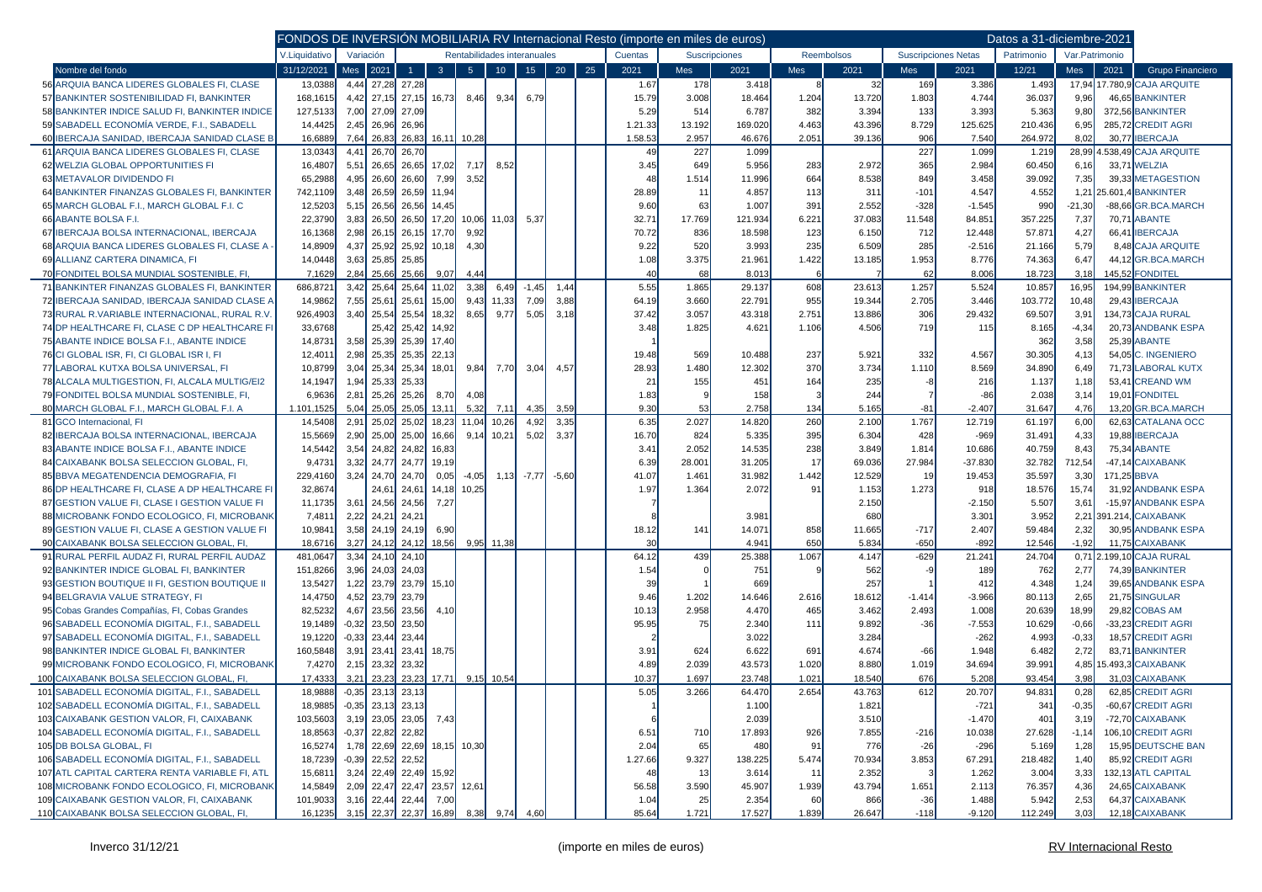|                                                                                                |                   | FONDOS DE INVERSION MOBILIARIA RV Internacional Resto (importe en miles de euros) |                              |                      |                |                |                             |                    |                 |    |             |              |               |            |              |                |                            | Datos a 31-diciembre-2021 |                |                                          |
|------------------------------------------------------------------------------------------------|-------------------|-----------------------------------------------------------------------------------|------------------------------|----------------------|----------------|----------------|-----------------------------|--------------------|-----------------|----|-------------|--------------|---------------|------------|--------------|----------------|----------------------------|---------------------------|----------------|------------------------------------------|
|                                                                                                | V.Liquidativo     | Variación                                                                         |                              |                      |                |                | Rentabilidades interanuales |                    |                 |    | Cuentas     |              | Suscripciones |            | Reembolsos   |                | <b>Suscripciones Netas</b> | Patrimonio                | Var.Patrimonio |                                          |
| Nombre del fondo                                                                               | 31/12/2021        | Mes                                                                               | 2021                         |                      | 3 <sup>°</sup> | 5 <sup>1</sup> | 10 <sub>1</sub>             | 15 <sup>7</sup>    | 20 <sub>2</sub> | 25 | 2021        | Mes          | 2021          | Mes        | 2021         | <b>Mes</b>     | 2021                       | 12/21                     | Mes            | 2021<br>Grupo Financiero                 |
| 56 ARQUIA BANCA LIDERES GLOBALES FI. CLASE                                                     | 13,0388           | 4,44                                                                              | 27,28 27,28                  |                      |                |                |                             |                    |                 |    | 1.67        | 178          | 3.418         |            | 32           | 169            | 3.386                      | 1.493                     | 17,94          | 17.780,9 CAJA ARQUITE                    |
| 57 BANKINTER SOSTENIBILIDAD FI, BANKINTER                                                      | 168,1615          | 4,42                                                                              |                              | 27,15 27,15          | 16,73          | 8,46           | 9,34                        | 6,79               |                 |    | 15.79       | 3.008        | 18.464        | 1.204      | 13.720       | 1.803          | 4.744                      | 36.037                    | 9,96           | 46,65 BANKINTER                          |
| 58 BANKINTER INDICE SALUD FI, BANKINTER INDICE                                                 | 127,5133          | 7,00                                                                              | 27,09 27,09                  |                      |                |                |                             |                    |                 |    | 5.29        | 514          | 6.787         | 382        | 3.394        | 133            | 3.393                      | 5.363                     | 9,80           | 372,56 BANKINTER                         |
| 59 SABADELL ECONOMÍA VERDE. F.I SABADELL                                                       | 14,4425           | 2,45                                                                              | 26,96 26,96                  |                      |                |                |                             |                    |                 |    | 1.21.33     | 13.192       | 169.020       | 4.463      | 43.396       | 8.729          | 125.625                    | 210.436                   | 6,95           | 285,72 CREDIT AGRI                       |
| 60 IBERCAJA SANIDAD. IBERCAJA SANIDAD CLASE B                                                  | 16,6889           | 7,64                                                                              | 26,83                        | 26,83                | 16, 11         | 10,28          |                             |                    |                 |    | 1.58.53     | 2.957        | 46.676        | 2.051      | 39.136       | 906            | 7.540                      | 264.972                   | 8,02           | 30,77 IBERCAJA                           |
| 61 ARQUIA BANCA LIDERES GLOBALES FI, CLASE                                                     | 13,0343           | 4,41                                                                              | 26,70                        | 26,70                |                |                |                             |                    |                 |    | 49          | 227          | 1.099         |            |              | 227            | 1.099                      | 1.219                     | 28,99          | .538,49 CAJA ARQUITE                     |
| 62 WELZIA GLOBAL OPPORTUNITIES FI                                                              | 16,4807           | 5,51                                                                              |                              | 26,65 26,65 17,02    |                | 7,17           | 8,52                        |                    |                 |    | 3.45        | 649          | 5.956         | 283        | 2.972        | 365            | 2.984                      | 60.450                    | 6,16           | 33,71 WELZIA                             |
| 63 METAVALOR DIVIDENDO FI                                                                      | 65,2988           | 4,95                                                                              | 26,60                        | 26,60                | 7,99           | 3,52           |                             |                    |                 |    | 48          | 1.514        | 11.996        | 664        | 8.538        | 849            | 3.458                      | 39.092                    | 7,35           | 39,33 METAGESTION                        |
| 64 BANKINTER FINANZAS GLOBALES FI, BANKINTER                                                   | 742,1109          | 3,48                                                                              | 26,59                        | 26,59                | 11,94          |                |                             |                    |                 |    | 28.89       | 11           | 4.857         | 113        | 311          | $-101$         | 4.547                      | 4.552                     | 1,21           | 25.601,4 BANKINTER                       |
| 65 MARCH GLOBAL F.I., MARCH GLOBAL F.I. C                                                      | 12,5203           | 5,15                                                                              | 26,56                        | 26,56                | 14,45          |                |                             |                    |                 |    | 9.60        | 63           | 1.007         | 391        | 2.552        | $-328$         | $-1.545$                   | 990                       | $-21,30$       | -88,66 GR.BCA.MARCH                      |
| 66 ABANTE BOLSA F.I.                                                                           | 22,3790           | 3,83                                                                              | 26,50                        | 26,50                | 17,20          | 10,06          | 11,03                       | 5,37               |                 |    | 32.71       | 17.769       | 121.934       | 6.221      | 37.083       | 11.548         | 84.851                     | 357.225                   | 7,37           | 70,71 ABANTE                             |
| 67 IBERCAJA BOLSA INTERNACIONAL, IBERCAJA                                                      | 16,1368           | 2,98                                                                              |                              | 26,15 26,15          | 17,70          | 9,92           |                             |                    |                 |    | 70.72       | 836          | 18.598        | 123        | 6.150        | 712            | 12.448                     | 57.871                    | 4,27           | 66,41 BERCAJA                            |
| 68 ARQUIA BANCA LIDERES GLOBALES FI, CLASE A                                                   | 14,8909           | 4,37                                                                              |                              | 25,92 25,92          | 10,18          | 4,30           |                             |                    |                 |    | 9.22        | 520          | 3.993         | 235        | 6.509        | 285            | $-2.516$                   | 21.166                    | 5,79           | 8,48 CAJA ARQUITE                        |
| 69 ALLIANZ CARTERA DINAMICA, FI                                                                | 14,0448           | 3,63                                                                              | 25,85 25,85                  |                      |                |                |                             |                    |                 |    | 1.08        | 3.375        | 21.961        | 1.422      | 13.185       | 1.953          | 8.776                      | 74.363                    | 6,47           | 44,12 GR.BCA.MARCH                       |
| 70 FONDITEL BOLSA MUNDIAL SOSTENIBLE, FI.                                                      | 7,1629            | 2,84                                                                              | 25,66                        | 25,66                | 9,07           | 4,44           |                             |                    |                 |    | 40          | 68           | 8.013         |            |              | 62             | 8.006                      | 18.723                    | 3,18           | 145,52 FONDITEL                          |
| 71 BANKINTER FINANZAS GLOBALES FI, BANKINTER                                                   | 686,8721          | 3,42                                                                              | 25,64                        | 25,64                | 11,02          | 3,38           | 6,49                        | $-1,45$            | 1,44            |    | 5.55        | 1.865        | 29.137        | 608        | 23.613       | 1.257          | 5.524                      | 10.857                    | 16,95          | 194,99 BANKINTER                         |
| 72 IBERCAJA SANIDAD, IBERCAJA SANIDAD CLASE A                                                  | 14,9862           | 7,55                                                                              | 25,61                        | 25,61                | 15,00          | 9,43           | 11,33                       | 7,09               | 3,88            |    | 64.19       | 3.660        | 22.791        | 955        | 19.344       | 2.705          | 3.446                      | 103.772                   | 10,48          | 29,43 <b>IBERCAJA</b>                    |
| 73 RURAL R. VARIABLE INTERNACIONAL, RURAL R.V<br>74 DP HEALTHCARE FI. CLASE C DP HEALTHCARE FI | 926,4903          | 3,40                                                                              | 25,54                        | 25,54                | 18,32          | 8,65           | 9,77                        | 5,05               | 3,18            |    | 37.42       | 3.057        | 43.318        | 2.751      | 13.886       | 306            | 29.432                     | 69.507                    | 3,91           | 134,73 CAJA RURAL                        |
|                                                                                                | 33,6768           |                                                                                   |                              | 25,42 25,42          | 14,92          |                |                             |                    |                 |    | 3.48        | 1.825        | 4.621         | 1.106      | 4.506        | 719            | 115                        | 8.165                     | $-4,34$        | 20,73 ANDBANK ESPA                       |
| 75 ABANTE INDICE BOLSA F.I., ABANTE INDICE                                                     | 14,8731           | 3,58                                                                              | 25,39                        | 25,39<br>25,35 25,35 | 17,40          |                |                             |                    |                 |    |             |              |               |            |              |                |                            | 362                       | 3,58           | 25,39 ABANTE                             |
| 76 CI GLOBAL ISR, FI, CI GLOBAL ISR I, FI<br>77 LABORAL KUTXA BOLSA UNIVERSAL, FI              | 12,401<br>10,8799 | 2,98<br>3,04                                                                      |                              |                      | 22,13          | 9,84           |                             |                    |                 |    | 19.48       | 569          | 10.488        | 237<br>370 | 5.921        | 332            | 4.567<br>8.569             | 30.305                    | 4,13           | 54,05 C. INGENIERO<br>71,73 LABORAL KUTX |
| 78 ALCALA MULTIGESTION, FI, ALCALA MULTIG/EI2                                                  | 14,1947           |                                                                                   | 25,34<br>25,33 25,33         | 25,34                | 18,01          |                | 7,70                        | 3,04               | 4,57            |    | 28.93<br>21 | 1.480<br>155 | 12.302<br>451 | 164        | 3.734<br>235 | 1.110          | 216                        | 34.890                    | 6,49<br>1,18   | 53,41 CREAND WM                          |
| 79 FONDITEL BOLSA MUNDIAL SOSTENIBLE, FI,                                                      | 6,9636            | 1,94<br>2,81                                                                      | 25,26                        | 25,26                | 8,70           | 4,08           |                             |                    |                 |    | 1.83        |              | 158           |            | 244          |                | $-86$                      | 1.137<br>2.038            | 3,14           | <b>FONDITEL</b><br>19,01                 |
| 80 MARCH GLOBAL F.I., MARCH GLOBAL F.I. A                                                      | 1.101,1525        | 5,04                                                                              | 25,05                        | 25,05                | 13,11          | 5,32           | 7,11                        | 4,35               | 3,59            |    | 9.30        | 53           | 2.758         | 134        | 5.165        | $-81$          | $-2.407$                   | 31.647                    | 4,76           | 13,20 GR.BCA.MARCH                       |
| 81 GCO Internacional, FI                                                                       | 14,5408           | 2,91                                                                              | 25,02                        | 25,02                | 18,23          | 11.04          | 10,26                       | 4,92               | 3,35            |    | 6.35        | 2.027        | 14.820        | 260        | 2.100        | 1.767          | 12.719                     | 61.197                    | 6,00           | 62,63 CATALANA OCC                       |
| 82 IBERCAJA BOLSA INTERNACIONAL, IBERCAJA                                                      | 15,5669           | 2,90                                                                              |                              | 25,00 25,00          | 16,66          | 9,14           | 10,21                       | 5,02               | 3,37            |    | 16.70       | 824          | 5.335         | 395        | 6.304        | 428            | $-969$                     | 31.491                    | 4,33           | 19.88 BERCAJA                            |
| 83 ABANTE INDICE BOLSA F.I., ABANTE INDICE                                                     | 14,5442           | 3,54                                                                              |                              | 24,82 24,82          | 16,83          |                |                             |                    |                 |    | 3.41        | 2.052        | 14.535        | 238        | 3.849        | 1.814          | 10.686                     | 40.759                    | 8,43           | 75,34 ABANTE                             |
| 84 CAIXABANK BOLSA SELECCION GLOBAL, FI.                                                       | 9,4731            | 3,32                                                                              | 24,77                        | 24,77                | 19,19          |                |                             |                    |                 |    | 6.39        | 28.001       | 31.205        | 17         | 69.036       | 27.984         | $-37.830$                  | 32.782                    | 712,54         | -47,14 CAIXABANK                         |
| 85 BBVA MEGATENDENCIA DEMOGRAFIA, FI                                                           | 229,4160          | 3,24                                                                              | 24,70                        | 24,70                | 0,05           | $-4,05$        |                             | $1,13$ -7,77 -5,60 |                 |    | 41.07       | 1.461        | 31.982        | 1.442      | 12.529       | 1 <sup>c</sup> | 19.453                     | 35.597                    | 3,30           | 171,25 BBVA                              |
| 86 DP HEALTHCARE FI, CLASE A DP HEALTHCARE FI                                                  | 32,8674           |                                                                                   | 24,61                        | 24,61                | 14,18          | 10,25          |                             |                    |                 |    | 1.97        | 1.364        | 2.072         | 91         | 1.153        | 1.273          | 918                        | 18.576                    | 15,74          | 31,92 ANDBANK ESPA                       |
| 87 GESTION VALUE FI, CLASE I GESTION VALUE FI                                                  | 11,1735           | 3,61                                                                              |                              | 24,56 24,56          | 7,27           |                |                             |                    |                 |    |             |              |               |            | 2.150        |                | $-2.150$                   | 5.507                     | 3,61           | -15,97 ANDBANK ESPA                      |
| 88 MICROBANK FONDO ECOLOGICO, FI, MICROBANK                                                    | 7,481             | 2,22                                                                              | 24,21                        | 24,21                |                |                |                             |                    |                 |    |             |              | 3.981         |            | 680          |                | 3.301                      | 3.952                     | 2,21           | 391.214, <mark>CAIXABANK</mark>          |
| 89 GESTION VALUE FI, CLASE A GESTION VALUE FI                                                  | 10,9841           | 3,58                                                                              |                              | 24,19 24,19          | 6,90           |                |                             |                    |                 |    | 18.12       | 141          | 14.071        | 858        | 11.665       | $-717$         | 2.407                      | 59.484                    | 2,32           | 30,95 ANDBANK ESPA                       |
| 90 CAIXABANK BOLSA SELECCION GLOBAL, FI.                                                       | 18,6716           | 3,27                                                                              |                              | 24,12 24,12          | 18,56          |                | $9,95$ 11,38                |                    |                 |    | 30          |              | 4.941         | 650        | 5.834        | $-650$         | $-892$                     | 12.546                    | $-1,92$        | 11,75 CAIXABANK                          |
| 91 RURAL PERFIL AUDAZ FI, RURAL PERFIL AUDAZ                                                   | 481,0647          | 3,34                                                                              | 24,10 24,10                  |                      |                |                |                             |                    |                 |    | 64.12       | 439          | 25.388        | 1.067      | 4.147        | $-629$         | 21.241                     | 24.704                    | 0,71           | .199,10 CAJA RURAL                       |
| 92 BANKINTER INDICE GLOBAL FI, BANKINTER                                                       | 151,8266          | 3,96                                                                              | 24,03 24,03                  |                      |                |                |                             |                    |                 |    | 1.54        |              | 751           |            | 562          |                | 189                        | 762                       | 2,77           | 74,39 BANKINTER                          |
| 93 GESTION BOUTIQUE II FI, GESTION BOUTIQUE II                                                 | 13,5427           | 1,22                                                                              |                              | 23,79 23,79          | 15,10          |                |                             |                    |                 |    | 39          |              | 669           |            | 257          |                | 412                        | 4.348                     | 1,24           | 39,65 ANDBANK ESPA                       |
| 94 BELGRAVIA VALUE STRATEGY, FI                                                                | 14,4750           | 4,52                                                                              | 23,79 23,79                  |                      |                |                |                             |                    |                 |    | 9.46        | 1.202        | 14.646        | 2.616      | 18.612       | $-1.414$       | $-3.966$                   | 80.113                    | 2,65           | 21,75 SINGULAR                           |
| 95 Cobas Grandes Compañías, FI, Cobas Grandes                                                  | 82,5232           | 4,67                                                                              | 23,56                        | 23,56                | 4,10           |                |                             |                    |                 |    | 10.13       | 2.958        | 4.470         | 465        | 3.462        | 2.493          | 1.008                      | 20.639                    | 18,99          | 29,82 COBAS AM                           |
| 96 SABADELL ECONOMÍA DIGITAL, F.I., SABADELI                                                   | 19,1489           | $-0,32$                                                                           | 23,50                        | 23,50                |                |                |                             |                    |                 |    | 95.95       | 75           | 2.340         | 111        | 9.892        | $-36$          | $-7.553$                   | 10.629                    | $-0,66$        | -33,23 CREDIT AGRI                       |
| 97 SABADELL ECONOMÍA DIGITAL, F.I., SABADELL                                                   | 19,1220           | $-0,33$                                                                           | 23,44                        | 23,44                |                |                |                             |                    |                 |    |             |              | 3.022         |            | 3.284        |                | $-262$                     | 4.993                     | $-0,33$        | 18,57 CREDIT AGRI                        |
| 98 BANKINTER INDICE GLOBAL FI, BANKINTER                                                       | 160,5848          | 3,91                                                                              | 23,41                        | 23,41                | 18,75          |                |                             |                    |                 |    | 3.91        | 624          | 6.622         | 691        | 4.674        | $-66$          | 1.948                      | 6.482                     | 2,72           | 83,71 BANKINTER                          |
| 99 MICROBANK FONDO ECOLOGICO. FI. MICROBANK                                                    | 7,427             | 2,15                                                                              | 23,32                        | 23,32                |                |                |                             |                    |                 |    | 4.89        | 2.039        | 43.573        | 1.020      | 8.880        | 1.019          | 34.694                     | 39.991                    | 4,85           | 5.493,3 CAIXABANK                        |
| 100 CAIXABANK BOLSA SELECCION GLOBAL, FI.                                                      | 17,4333           | 3,21                                                                              | 23,23                        | 23,23                | 17,71          | 9,15           | 10,54                       |                    |                 |    | 10.37       | 1.697        | 23.748        | 1.021      | 18.540       | 676            | 5.208                      | 93.454                    | 3,98           | 31,03 CAIXABANK                          |
| 101 SABADELL ECONOMÍA DIGITAL, F.I., SABADELL                                                  | 18,9888           | $-0,35$                                                                           |                              | $23,13$ 23,13        |                |                |                             |                    |                 |    | 5.05        | 3.266        | 64.470        | 2.654      | 43.763       | 612            | 20.707                     | 94.831                    | 0,28           | 62,85 CREDIT AGRI                        |
| 102 SABADELL ECONOMÍA DIGITAL, F.I., SABADELL                                                  | 18,9885           |                                                                                   | $-0,35$ 23,13 23,13          |                      |                |                |                             |                    |                 |    |             |              | 1.100         |            | 1.821        |                | $-721$                     | 341                       | $-0,35$        | -60,67 CREDIT AGRI                       |
| 103 CAIXABANK GESTION VALOR, FI, CAIXABANK                                                     | 103,5603          |                                                                                   | 3,19 23,05 23,05 7,43        |                      |                |                |                             |                    |                 |    |             |              | 2.039         |            | 3.510        |                | $-1.470$                   | 401                       | 3,19           | -72,70 CAIXABANK                         |
| 104 SABADELL ECONOMÍA DIGITAL, F.I., SABADELL                                                  | 18,8563           |                                                                                   | $-0,37$ 22,82 22,82          |                      |                |                |                             |                    |                 |    | 6.51        | 710          | 17.893        | 926        | 7.855        | $-216$         | 10.038                     | 27.628                    | $-1,14$        | 106,10 CREDIT AGRI                       |
| 105 DB BOLSA GLOBAL, FI                                                                        | 16,5274           |                                                                                   | 1,78 22,69 22,69 18,15 10,30 |                      |                |                |                             |                    |                 |    | 2.04        | 65           | 480           | 91         | 776          | $-26$          | $-296$                     | 5.169                     | 1,28           | 15,95 DEUTSCHE BAN                       |
| 106 SABADELL ECONOMÍA DIGITAL, F.I., SABADELL                                                  | 18,7239           |                                                                                   | $-0,39$ 22,52 22,52          |                      |                |                |                             |                    |                 |    | 1.27.66     | 9.327        | 138.225       | 5.474      | 70.934       | 3.853          | 67.291                     | 218.482                   | 1,40           | 85,92 CREDIT AGRI                        |
| 107 ATL CAPITAL CARTERA RENTA VARIABLE FI, ATL                                                 | 15,6811           |                                                                                   | 3,24 22,49 22,49 15,92       |                      |                |                |                             |                    |                 |    | 48          | 13           | 3.614         | 11         | 2.352        |                | 1.262                      | 3.004                     | 3,33           | 132,13 ATL CAPITAL                       |
| 108 MICROBANK FONDO ECOLOGICO, FI, MICROBANK                                                   | 14,5849           |                                                                                   | 2,09 22,47 22,47 23,57 12,61 |                      |                |                |                             |                    |                 |    | 56.58       | 3.590        | 45.907        | 1.939      | 43.794       | 1.651          | 2.113                      | 76.357                    | 4,36           | 24,65 CAIXABANK                          |
| 109 CAIXABANK GESTION VALOR, FI, CAIXABANK                                                     | 101,9033          |                                                                                   | 3,16 22,44 22,44 7,00        |                      |                |                |                             |                    |                 |    | 1.04        | 25           | 2.354         | 60         | 866          | $-36$          | 1.488                      | 5.942                     | 2,53           | 64,37 CAIXABANK                          |
| 110 CAIXABANK BOLSA SELECCION GLOBAL, FI,                                                      | 16,1235           |                                                                                   | 3,15 22,37 22,37 16,89 8,38  |                      |                |                | 9,74                        | 4,60               |                 |    | 85.64       | 1.721        | 17.527        | 1.839      | 26.647       | $-118$         | $-9.120$                   | 112.249                   | 3,03           | 12,18 CAIXABANK                          |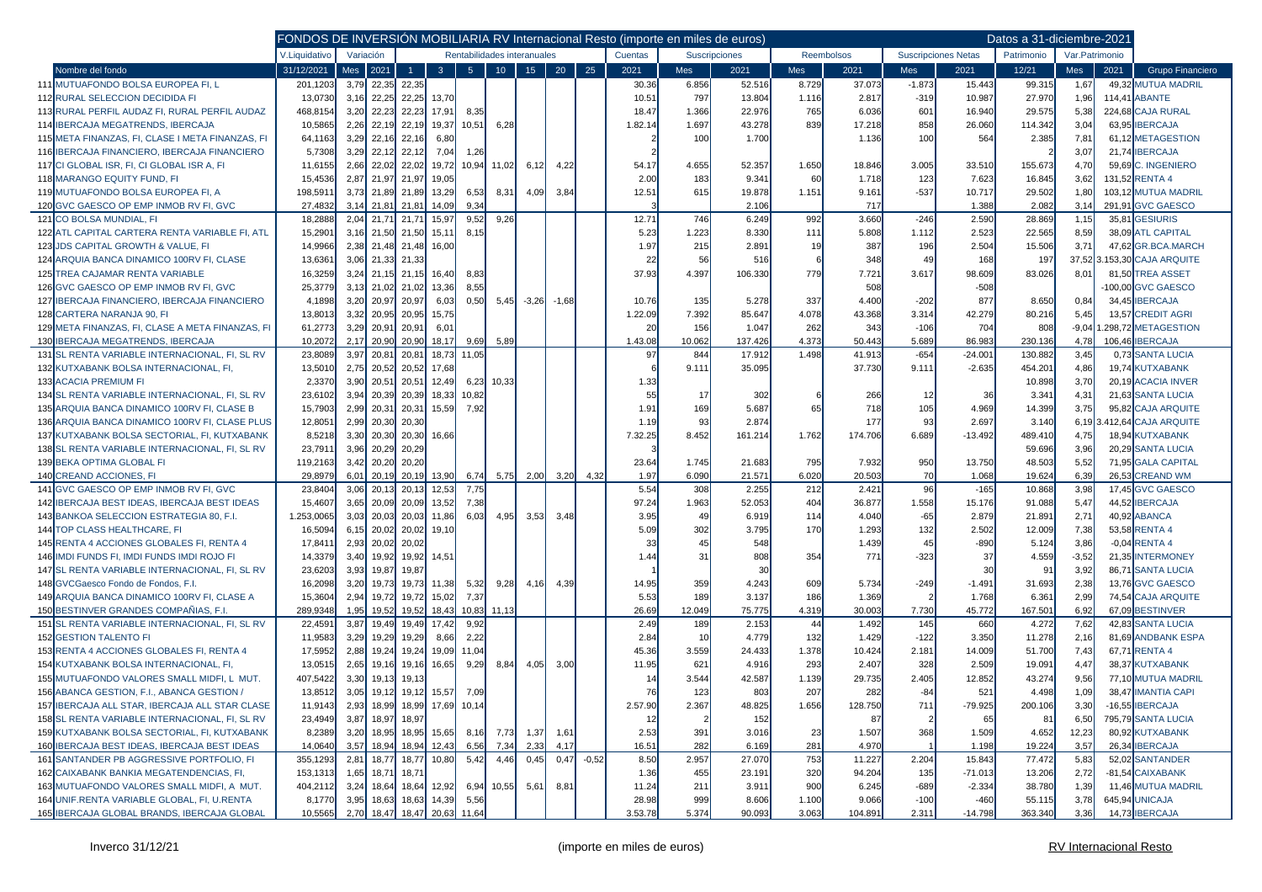|                                                  | FONDOS DE INVERSIÓN MOBILIARIA RV Internacional Resto (importe en miles de euros) |      |                                          |              |                               |                |              |                    |      |            |         |                            |            |                |         |          |           | Datos a 31-diciembre-2021 |         |      |                      |
|--------------------------------------------------|-----------------------------------------------------------------------------------|------|------------------------------------------|--------------|-------------------------------|----------------|--------------|--------------------|------|------------|---------|----------------------------|------------|----------------|---------|----------|-----------|---------------------------|---------|------|----------------------|
|                                                  | V.Liquidativo                                                                     |      | Rentabilidades interanuales<br>Variación |              |                               | Cuentas        |              | Suscripciones      |      | Reembolsos |         | <b>Suscripciones Netas</b> | Patrimonio | Var.Patrimonio |         |          |           |                           |         |      |                      |
| Nombre del fondo                                 | 31/12/2021                                                                        | Mes  | 2021                                     | $\mathbf{1}$ | $\overline{3}$                | 5 <sup>5</sup> | $10-10$      | 15                 | 20   | 25         | 2021    | <b>Mes</b>                 | 2021       | <b>Mes</b>     | 2021    | Mes      | 2021      | 12/21                     | Mes     | 2021 | Grupo Financiero     |
| 111 MUTUAFONDO BOLSA EUROPEA FI, L               | 201,1203                                                                          |      | $3,79$ 22,35                             | 22,35        |                               |                |              |                    |      |            | 30.36   | 6.856                      | 52.516     | 8.729          | 37.073  | $-1.873$ | 15.443    | 99.315                    | 1,67    |      | 49.32 MUTUA MADRIL   |
| 112 RURAL SELECCION DECIDIDA FI                  | 13,0730                                                                           | 3,16 | 22,25                                    | 22,25        | 13,70                         |                |              |                    |      |            | 10.51   | 797                        | 13.804     | 1.116          | 2.817   | $-319$   | 10.987    | 27.970                    | 1,96    |      | 114,41 ABANTE        |
| 113 RURAL PERFIL AUDAZ FI, RURAL PERFIL AUDAZ    | 468,8154                                                                          |      | $3,20$ 22,23                             | 22,23        | 17,91                         | 8,35           |              |                    |      |            | 18.47   | 1.366                      | 22.976     | 765            | 6.036   | 601      | 16.940    | 29.575                    | 5,38    |      | 224,68 CAJA RURAL    |
| 114 IBERCAJA MEGATRENDS, IBERCAJA                | 10,5865                                                                           | 2,26 | 22,19                                    | 22,19        | 19,37                         | 10,51          | 6,28         |                    |      |            | 1.82.14 | 1.697                      | 43.278     | 839            | 17.218  | 858      | 26.060    | 114.342                   | 3,04    |      | 63,95 IBERCAJA       |
| 115 META FINANZAS, FI, CLASE I META FINANZAS, FI | 64,1163                                                                           | 3,29 | 22,16                                    | 22,16        | 6,80                          |                |              |                    |      |            |         | 100                        | 1.700      |                | 1.136   | 100      | 564       | 2.385                     | 7,81    |      | 61,12 METAGESTION    |
| 116 IBERCAJA FINANCIERO, IBERCAJA FINANCIERO     | 5,7308                                                                            | 3,29 | 22,12                                    | 22,12        | 7,04                          | 1,26           |              |                    |      |            |         |                            |            |                |         |          |           |                           | 3,07    |      | 21,74 IBERCAJA       |
| 117 CI GLOBAL ISR, FI, CI GLOBAL ISR A, FI       | 11,6155                                                                           | 2,66 | 22,02                                    | 22,02        | 19,72                         |                | 10,94 11,02  | 6,12               | 4,22 |            | 54.17   | 4.655                      | 52.357     | 1.650          | 18.846  | 3.005    | 33.510    | 155.673                   | 4,70    |      | 59,69 C. INGENIERO   |
| 118 MARANGO EQUITY FUND. FI                      | 15,4536                                                                           |      | 2,87 21,97                               | 21,97        | 19,05                         |                |              |                    |      |            | 2.00    | 183                        | 9.341      | 60             | 1.718   | 123      | 7.623     | 16.845                    | 3,62    |      | 131,52 RENTA 4       |
| 119 MUTUAFONDO BOLSA EUROPEA FI, A               | 198,591                                                                           |      | 3,73 21,89 21,89                         |              | 13,29                         | 6,53           | 8,31         | 4,09               | 3,84 |            | 12.51   | 615                        | 19.878     | 1.151          | 9.161   | $-537$   | 10.717    | 29.502                    | 1,80    |      | 103,12 MUTUA MADRIL  |
| 120 GVC GAESCO OP EMP INMOB RV FI, GVC           | 27,4832                                                                           | 3.14 | 21,81                                    | 21,81        | 14,09                         | 9.34           |              |                    |      |            |         |                            | 2.106      |                | 717     |          | 1.388     | 2.082                     | 3,14    |      | 291,91 GVC GAESCO    |
| 121 CO BOLSA MUNDIAL, FI                         | 18,2888                                                                           |      | 2,04 21,71                               | 21,71        | 15,97                         | 9,52           | 9,26         |                    |      |            | 12.71   | 746                        | 6.249      | 992            | 3.660   | $-246$   | 2.590     | 28.869                    | 1,15    |      | 35,81 GESIURIS       |
| 122 ATL CAPITAL CARTERA RENTA VARIABLE FI, ATL   | 15,2901                                                                           |      | 3,16 21,50 21,50                         |              | 15,11                         | 8,15           |              |                    |      |            | 5.23    | 1.223                      | 8.330      | 111            | 5.808   | 1.112    | 2.523     | 22.565                    | 8,59    |      | 38,09 ATL CAPITAL    |
| 123 JDS CAPITAL GROWTH & VALUE, FI               | 14,9966                                                                           |      | 2,38 21,48 21,48                         |              | 16,00                         |                |              |                    |      |            | 1.97    | 215                        | 2.891      | 19             | 387     | 196      | 2.504     | 15.506                    | 3,71    |      | 47,62 GR.BCA.MARCH   |
| 124 ARQUIA BANCA DINAMICO 100RV FI, CLASE        | 13,6361                                                                           | 3,06 |                                          | 21,33 21.33  |                               |                |              |                    |      |            | 22      | 56                         | 516        |                | 348     | 49       | 168       | 197                       | 37,52   |      | .153,30 CAJA ARQUITE |
| 125 TREA CAJAMAR RENTA VARIABLE                  | 16,3259                                                                           |      | 3,24 21,15 21,15                         |              | 16,40                         | 8,83           |              |                    |      |            | 37.93   | 4.397                      | 106.330    | 779            | 7.721   | 3.617    | 98.609    | 83.026                    | 8,01    |      | 81,50 TREA ASSET     |
| 126 GVC GAESCO OP EMP INMOB RV FI, GVC           | 25,3779                                                                           |      | $3,13$ 21,02                             | 21,02        | 13,36                         | 8,55           |              |                    |      |            |         |                            |            |                | 508     |          | $-508$    |                           |         |      | 100,00 GVC GAESCO    |
| 127 IBERCAJA FINANCIERO, IBERCAJA FINANCIERO     | 4,1898                                                                            |      | 3,20 20,97                               | 20,97        | 6,03                          | 0,50           |              | $5,45$ -3,26 -1,68 |      |            | 10.76   | 135                        | 5.278      | 337            | 4.400   | $-202$   | 877       | 8.650                     | 0,84    |      | 34,45 IBERCAJA       |
| 128 CARTERA NARANJA 90, FI                       | 13,8013                                                                           | 3,32 | 20,95                                    | 20,95        | 15,75                         |                |              |                    |      |            | 1.22.09 | 7.392                      | 85.647     | 4.078          | 43.368  | 3.314    | 42.279    | 80.216                    | 5,45    |      | 13,57 CREDIT AGRI    |
| 129 META FINANZAS, FI, CLASE A META FINANZAS, FI | 61,2773                                                                           | 3,29 | 20,91                                    | 20,91        | 6,01                          |                |              |                    |      |            | 20      | 156                        | 1.047      | 262            | 343     | $-106$   | 704       | 808                       | $-9,04$ |      | .298,72 METAGESTION  |
| 130 IBERCAJA MEGATRENDS. IBERCAJA                | 10,207                                                                            | 2.17 | 20,90                                    | 20,90        | 18,17                         | 9,69           | 5,89         |                    |      |            | 1.43.08 | 10.062                     | 137.426    | 4.373          | 50.443  | 5.689    | 86.983    | 230.136                   | 4,78    |      | 106,46 IBERCAJA      |
| 131 SL RENTA VARIABLE INTERNACIONAL, FI, SL RV   | 23,8089                                                                           | 3,97 | 20,81                                    | 20,81        | 18,73                         | 11,05          |              |                    |      |            | 97      | 844                        | 17.912     | 1.498          | 41.913  | $-654$   | $-24.001$ | 130.882                   | 3,45    |      | 0,73 SANTA LUCIA     |
| 132 KUTXABANK BOLSA INTERNACIONAL, FI            | 13,5010                                                                           | 2,75 | 20,52                                    | 20,52        | 17,68                         |                |              |                    |      |            |         | 9.111                      | 35.095     |                | 37.730  | 9.111    | $-2.635$  | 454.201                   | 4,86    |      | 19,74 KUTXABANK      |
| <b>133 ACACIA PREMIUM FI</b>                     | 2,3370                                                                            |      | 3,90 20,51                               | 20,51        | 12,49                         | 6,23           | 10,33        |                    |      |            | 1.33    |                            |            |                |         |          |           | 10.898                    | 3,70    |      | 20,19 ACACIA INVER   |
| 134 SL RENTA VARIABLE INTERNACIONAL, FI, SL RV   | 23,6102                                                                           | 3,94 | 20,39                                    | 20,39        | 18,33                         | 10,82          |              |                    |      |            | 55      | 17                         | 302        |                | 266     | -12      | 36        | 3.341                     | 4,31    |      | 21,63 SANTA LUCIA    |
| 135 ARQUIA BANCA DINAMICO 100RV FI, CLASE B      | 15,7903                                                                           |      | 2,99 20,31                               | 20,31        | 15,59                         | 7,92           |              |                    |      |            | 1.91    | 169                        | 5.687      | 65             | 718     | 105      | 4.969     | 14.399                    | 3,75    |      | 95,82 CAJA ARQUITE   |
| 136 ARQUIA BANCA DINAMICO 100RV FI, CLASE PLUS   | 12,8051                                                                           | 2,99 | 20,30                                    | 20,30        |                               |                |              |                    |      |            | 1.19    | 93                         | 2.874      |                | 177     | 93       | 2.697     | 3.140                     | 6,19    |      | 412,64 CAJA ARQUITE  |
| 137 KUTXABANK BOLSA SECTORIAL, FI, KUTXABANK     | 8,5218                                                                            |      | $3,30$ 20,30                             | 20,30        | 16,66                         |                |              |                    |      |            | 7.32.25 | 8.452                      | 161.214    | 1.762          | 174.706 | 6.689    | $-13.492$ | 489.410                   | 4,75    |      | 18,94 KUTXABANK      |
| 138 SL RENTA VARIABLE INTERNACIONAL, FI, SL RV   | 23,791                                                                            | 3,96 |                                          | 20,29 20,29  |                               |                |              |                    |      |            |         |                            |            |                |         |          |           | 59.696                    | 3,96    |      | 20,29 SANTA LUCIA    |
| 139 BEKA OPTIMA GLOBAL FI                        | 119,2163                                                                          |      | 3,42 20,20 20,20                         |              |                               |                |              |                    |      |            | 23.64   | 1.745                      | 21.683     | 795            | 7.932   | 950      | 13.750    | 48.503                    | 5,52    |      | 71,95 GALA CAPITAL   |
| 140 CREAND ACCIONES, FI                          | 29,8979                                                                           | 6,01 | 20,19                                    | 20,19        | 13,90                         | 6,74           | 5,75         | 2,00               | 3,20 | 4,32       | 1.97    | 6.090                      | 21.571     | 6.020          | 20.503  | 70       | 1.068     | 19.624                    | 6,39    |      | 26,53 CREAND WM      |
| 141 GVC GAESCO OP EMP INMOB RV FI, GVC           | 23,8404                                                                           |      | $3,06$ 20,13                             | 20,13        | 12,53                         | 7,75           |              |                    |      |            | 5.54    | 308                        | 2.255      | 212            | 2.421   | 96       | $-165$    | 10.868                    | 3,98    |      | 17,45 GVC GAESCO     |
| 142 IBERCAJA BEST IDEAS, IBERCAJA BEST IDEAS     | 15,4607                                                                           |      | 3,65 20,09                               | 20,09        | 13,52                         | 7,38           |              |                    |      |            | 97.24   | 1.963                      | 52.053     | 404            | 36.877  | 1.558    | 15.176    | 91.088                    | 5,47    |      | 44,52 IBERCAJA       |
| 143 BANKOA SELECCION ESTRATEGIA 80, F.I.         | 1.253,0065                                                                        | 3,03 | 20,03                                    | 20,03        | 11,86                         | 6,03           | 4,95         | 3,53               | 3,48 |            | 3.95    | 49                         | 6.919      | 114            | 4.040   | $-65$    | 2.879     | 21.891                    | 2,71    |      | 40,92 ABANCA         |
| 144 TOP CLASS HEALTHCARE, FI                     | 16,5094                                                                           | 6,15 | 20,02                                    | 20,02        | 19,10                         |                |              |                    |      |            | 5.09    | 302                        | 3.795      | 170            | 1.293   | 132      | 2.502     | 12.009                    | 7,38    |      | 53,58 RENTA 4        |
| 145 RENTA 4 ACCIONES GLOBALES FI, RENTA 4        | 17,841                                                                            |      | 2,93 20,02 20,02                         |              |                               |                |              |                    |      |            | 33      | 45                         | 548        |                | 1.439   | 45       | $-890$    | 5.124                     | 3,86    |      | $-0.04$ RENTA4       |
| 146 IMDI FUNDS FI, IMDI FUNDS IMDI ROJO FI       | 14,3379                                                                           | 3,40 | 19,92                                    | 19,92        | 14,51                         |                |              |                    |      |            | 1.44    | 31                         | 808        | 354            | 771     | $-323$   | 37        | 4.559                     | $-3,52$ |      | 21,35 INTERMONEY     |
| 147 SL RENTA VARIABLE INTERNACIONAL, FI, SL RV   | 23,6203                                                                           |      | 3,93 19,87                               | 19,87        |                               |                |              |                    |      |            |         |                            | 30         |                |         |          | 30        | 91                        | 3,92    |      | 86,71 SANTA LUCIA    |
| 148 GVCGaesco Fondo de Fondos, F.I.              | 16,2098                                                                           | 3,20 | 19,73                                    | 19,73        | 11,38                         | 5,32           | 9,28         | 4,16               | 4,39 |            | 14.95   | 359                        | 4.243      | 609            | 5.734   | $-249$   | $-1.491$  | 31.693                    | 2,38    |      | 13,76 GVC GAESCO     |
| 149 ARQUIA BANCA DINAMICO 100RV FI, CLASE A      | 15,3604                                                                           |      | 2,94 19,72                               | 19,72        | 15,02                         | 7,37           |              |                    |      |            | 5.53    | 189                        | 3.137      | 186            | 1.369   |          | 1.768     | 6.361                     | 2,99    |      | 74,54 CAJA ARQUITE   |
| 150 BESTINVER GRANDES COMPAÑIAS. F.I.            | 289.9348                                                                          | 1,95 | 19,52                                    | 19,52        | 18,43                         | 10,83          | 11,13        |                    |      |            | 26.69   | 12.049                     | 75.775     | 4.319          | 30.003  | 7.730    | 45.772    | 167.501                   | 6,92    |      | 67,09 BESTINVER      |
| 151 SL RENTA VARIABLE INTERNACIONAL, FI, SL RV   | 22,4591                                                                           | 3,87 | 19,49                                    | 19,49        | 17,42                         | 9,92           |              |                    |      |            | 2.49    | 189                        | 2.153      | 44             | 1.492   | 145      | 660       | 4.272                     | 7,62    |      | 42,83 SANTA LUCIA    |
| 152 GESTION TALENTO FI                           | 11,9583                                                                           | 3,29 | 19,29                                    | 19,29        | 8,66                          | 2,22           |              |                    |      |            | 2.84    | 10                         | 4.779      | 132            | 1.429   | $-122$   | 3.350     | 11.278                    | 2,16    |      | 81,69 ANDBANK ESPA   |
| 153 RENTA 4 ACCIONES GLOBALES FI, RENTA 4        | 17,5952                                                                           | 2,88 | 19,24                                    | 19,24        | 19,09                         | 11,04          |              |                    |      |            | 45.36   | 3.559                      | 24.433     | 1.378          | 10.424  | 2.181    | 14.009    | 51.700                    | 7,43    |      | 67,71 RENTA 4        |
| 154 KUTXABANK BOLSA INTERNACIONAL, FI            | 13,0515                                                                           | 2,65 | 19,16                                    | 19,16        | 16,65                         | 9,29           | 8,84         | 4,05               | 3,00 |            | 11.95   | 621                        | 4.916      | 293            | 2.407   | 328      | 2.509     | 19.091                    | 4,47    |      | 38,37 KUTXABANK      |
| 155 MUTUAFONDO VALORES SMALL MIDFI, L MUT.       | 407,5422                                                                          | 3,30 | 19,13                                    | 19,1         |                               |                |              |                    |      |            |         | 3.544                      | 42.587     | 1.139          | 29.735  | 2.405    | 12.852    | 43.274                    | 9,56    |      | 77,10 MUTUA MADRIL   |
| 156 ABANCA GESTION, F.I., ABANCA GESTION         | 13,8512                                                                           |      | $3,05$ 19,12                             | 19,12        | 15,57                         | 7,09           |              |                    |      |            | 76      | 123                        | 803        | 207            | 282     | $-84$    | 521       | 4.498                     | 1,09    |      | 38,47 IMANTIA CAPI   |
| 157 IBERCAJA ALL STAR, IBERCAJA ALL STAR CLASE   | 11,9143                                                                           |      |                                          |              | 2,93 18,99 18,99 17,69 10,14  |                |              |                    |      |            | 2.57.90 | 2.367                      | 48.825     | 1.656          | 128.750 | 711      | -79.925   | 200.106                   | 3,30    |      | -16,55 IBERCAJA      |
| 158 SL RENTA VARIABLE INTERNACIONAL, FI, SL RV   | 23,4949                                                                           |      | 3,87 18,97 18,97                         |              |                               |                |              |                    |      |            | 12      |                            | 152        |                | 87      |          | 65        | 81                        | 6,50    |      | 795,79 SANTA LUCIA   |
| 159 KUTXABANK BOLSA SECTORIAL, FI, KUTXABANK     | 8,2389                                                                            |      |                                          |              | $3,20$ 18,95 18,95 15,65 8,16 |                |              | 7,73 1,37 1,61     |      |            | 2.53    | 391                        | 3.016      | 23             | 1.507   | 368      | 1.509     | 4.652                     | 12,23   |      | 80,92 KUTXABANK      |
| 160 IBERCAJA BEST IDEAS, IBERCAJA BEST IDEAS     | 14,0640                                                                           |      |                                          |              | 3,57 18,94 18,94 12,43        | 6,56           | 7,34         | 2,33               | 4,17 |            | 16.51   | 282                        | 6.169      | 281            | 4.970   |          | 1.198     | 19.224                    | 3,57    |      | 26,34 IBERCAJA       |
| 161 SANTANDER PB AGGRESSIVE PORTFOLIO, FI        | 355,1293                                                                          |      |                                          |              | 2,81 18,77 18,77 10,80        | 5,42           | 4,46         | 0,45               | 0,47 | $-0,52$    | 8.50    | 2.957                      | 27.070     | 753            | 11.227  | 2.204    | 15.843    | 77.472                    | 5,83    |      | 52,02 SANTANDER      |
| 162 CAIXABANK BANKIA MEGATENDENCIAS, FI,         | 153,1313                                                                          |      | 1,65 18,71 18,71                         |              |                               |                |              |                    |      |            | 1.36    | 455                        | 23.191     | 320            | 94.204  | 135      | $-71.013$ | 13.206                    | 2,72    |      | -81,54 CAIXABANK     |
| 163 MUTUAFONDO VALORES SMALL MIDFI, A MUT.       | 404,2112                                                                          |      |                                          |              | 3,24 18,64 18,64 12,92        |                | $6,94$ 10,55 | 5,61               | 8,81 |            | 11.24   | 211                        | 3.911      | 900            | 6.245   | $-689$   | $-2.334$  | 38.780                    | 1,39    |      | 11,46 MUTUA MADRIL   |
| 164 UNIF.RENTA VARIABLE GLOBAL, FI, U.RENTA      | 8,1770                                                                            |      |                                          |              | 3,95 18,63 18,63 14,39        | 5,56           |              |                    |      |            | 28.98   | 999                        | 8.606      | 1.100          | 9.066   | $-100$   | $-460$    | 55.115                    | 3,78    |      | 645,94 UNICAJA       |
| 165 BERCAJA GLOBAL BRANDS, IBERCAJA GLOBAL       | 10,5565                                                                           |      |                                          |              | 2,70 18,47 18,47 20,63 11,64  |                |              |                    |      |            | 3.53.78 | 5.374                      | 90.093     | 3.063          | 104.891 | 2.311    | $-14.798$ | 363.340                   | 3,36    |      | 14,73 IBERCAJA       |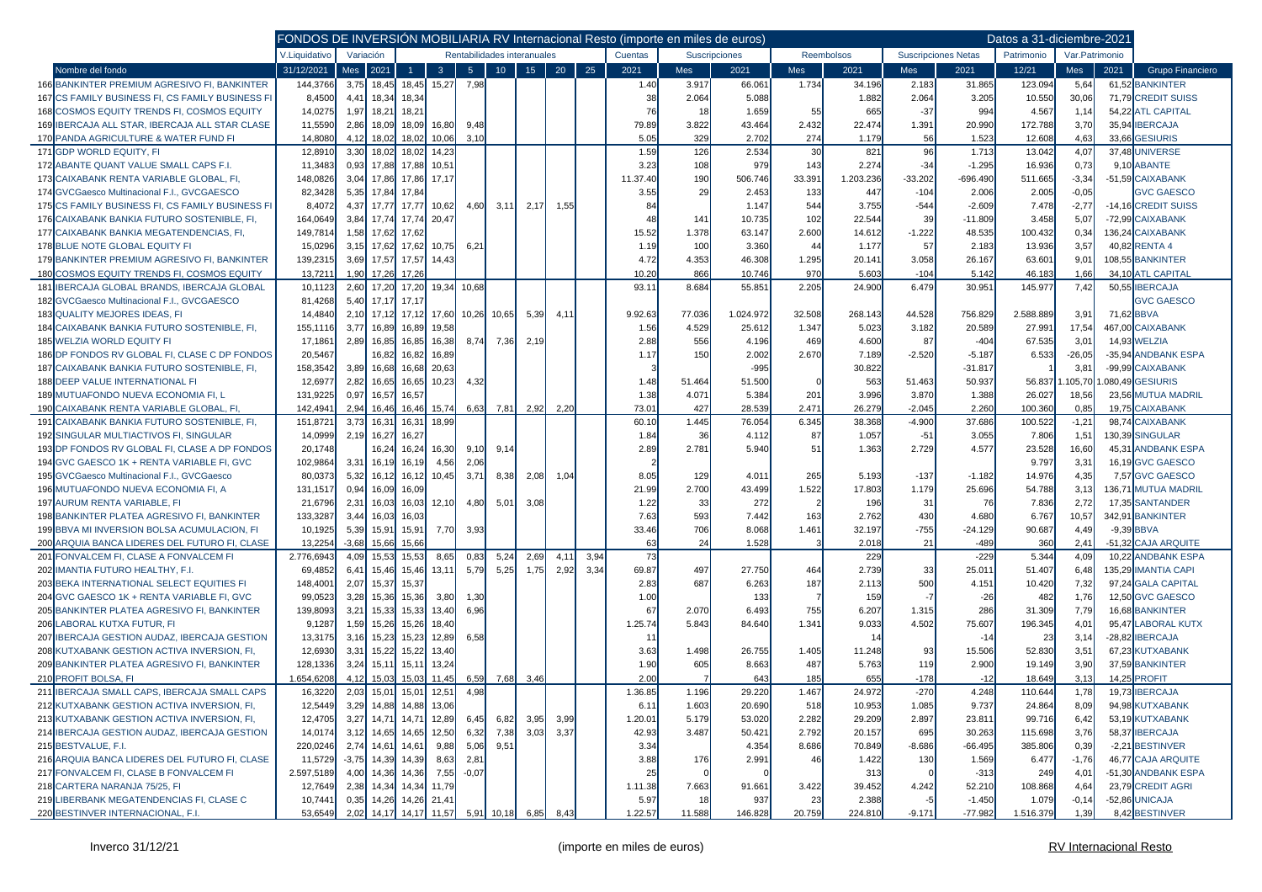|                                                        | FONDOS DE INVERSIÓN MOBILIARIA RV Internacional Resto (importe en miles de euros) |           |              |                        |                                   |                |                 |                             |      |      |          |        |               |                |            |            |                            | Datos a 31-diciembre-2021 |                |                          |
|--------------------------------------------------------|-----------------------------------------------------------------------------------|-----------|--------------|------------------------|-----------------------------------|----------------|-----------------|-----------------------------|------|------|----------|--------|---------------|----------------|------------|------------|----------------------------|---------------------------|----------------|--------------------------|
|                                                        | V.Liquidativo                                                                     | Variación |              |                        |                                   |                |                 | Rentabilidades interanuales |      |      | Cuentas  |        | Suscripciones |                | Reembolsos |            | <b>Suscripciones Netas</b> | Patrimonio                | Var.Patrimonio |                          |
| Nombre del fondo                                       | 31/12/2021                                                                        | Mes       | 2021         | $\overline{1}$         | 3 <sup>°</sup>                    | 5 <sup>1</sup> | 10 <sub>1</sub> | 15 <sup>°</sup>             | 20   | 25   | 2021     | Mes    | 2021          | Mes            | 2021       | <b>Mes</b> | 2021                       | 12/21                     | Mes            | 2021<br>Grupo Financiero |
| 166 BANKINTER PREMIUM AGRESIVO FI, BANKINTER           | 144,3766                                                                          |           | $3,75$ 18,45 | 18,45                  | 15,27                             | 7,98           |                 |                             |      |      | 1.40     | 3.917  | 66.061        | 1.734          | 34.196     | 2.183      | 31.865                     | 123.094                   | 5,64           | 61,52 BANKINTER          |
| 167 CS FAMILY BUSINESS FI, CS FAMILY BUSINESS FI       | 8,4500                                                                            | 4,41      | 18,34        | 18,34                  |                                   |                |                 |                             |      |      | 38       | 2.064  | 5.088         |                | 1.882      | 2.064      | 3.205                      | 10.550                    | 30,06          | 71,79 CREDIT SUISS       |
| 168 COSMOS EQUITY TRENDS FI, COSMOS EQUITY             | 14,0275                                                                           | 1,97      | 18,21        | 18,21                  |                                   |                |                 |                             |      |      | 76       | 18     | 1.659         | 55             | 665        | $-37$      | 994                        | 4.567                     | 1,14           | 54,22 ATL CAPITAL        |
| 169 IBERCAJA ALL STAR, IBERCAJA ALL STAR CLASE         | 11,5590                                                                           | 2,86      | 18,09        | 18,09                  | 16,80                             | 9,48           |                 |                             |      |      | 79.89    | 3.822  | 43.464        | 2.432          | 22.474     | 1.391      | 20.990                     | 172.788                   | 3,70           | 35,94 IBERCAJA           |
| 170 PANDA AGRICULTURE & WATER FUND FI                  | 14,8080                                                                           | 4,12      | 18,02        | 18,02                  | 10,06                             | 3.10           |                 |                             |      |      | 5.05     | 329    | 2.702         | 274            | 1.179      | 56         | 1.523                      | 12.608                    | 4,63           | 33.66 GESIURIS           |
| 171 GDP WORLD EQUITY, FI                               | 12,891                                                                            | 3,30      | 18,02        | 18,02                  | 14,23                             |                |                 |                             |      |      | 1.59     | 126    | 2.534         | 30             | 821        | 96         | 1.713                      | 13.042                    | 4,07           | 37,48 UNIVERSE           |
| 172 ABANTE QUANT VALUE SMALL CAPS F.I.                 | 11,3483                                                                           | 0,93      | 17,88        | 17,88                  | 10,51                             |                |                 |                             |      |      | 3.23     | 108    | 979           | 143            | 2.274      | $-34$      | $-1.295$                   | 16.936                    | 0,73           | 9,10 ABANTE              |
| 173 CAIXABANK RENTA VARIABLE GLOBAL, FI,               | 148,0826                                                                          | 3,04      | 17,86        | 17,86                  | 17,17                             |                |                 |                             |      |      | 11.37.40 | 190    | 506.746       | 33.391         | 1.203.236  | $-33.202$  | $-696.490$                 | 511.665                   | $-3,34$        | -51,59 CAIXABANK         |
| 174 GVCGaesco Multinacional F.I., GVCGAESCO            | 82,3428                                                                           | 5,35      | 17,84        | 17,84                  |                                   |                |                 |                             |      |      | 3.55     | 29     | 2.453         | 133            | 447        | $-104$     | 2.006                      | 2.005                     | $-0,05$        | <b>GVC GAESCO</b>        |
| 175 CS FAMILY BUSINESS FI, CS FAMILY BUSINESS FI       | 8,4072                                                                            | 4,37      | 17,77        | 17,77                  | 10,62                             | 4,60           | 3,11            | 2,17                        | 1,55 |      | 84       |        | 1.147         | 544            | 3.755      | $-544$     | $-2.609$                   | 7.478                     | $-2,77$        | -14.16 CREDIT SUISS      |
| 176 CAIXABANK BANKIA FUTURO SOSTENIBLE, FI,            | 164,0649                                                                          | 3,84      | 17,74        | 17,74                  | 20,47                             |                |                 |                             |      |      | 48       | 141    | 10.735        | 102            | 22.544     | 39         | $-11.809$                  | 3.458                     | 5,07           | -72,99 CAIXABANK         |
| 177 CAIXABANK BANKIA MEGATENDENCIAS, FI,               | 149,7814                                                                          | 1,58      | 17,62        | 17,62                  |                                   |                |                 |                             |      |      | 15.52    | 1.378  | 63.147        | 2.600          | 14.612     | $-1.222$   | 48.535                     | 100.432                   | 0,34           | 136,24 CAIXABANK         |
| <b>178 BLUE NOTE GLOBAL EQUITY FI</b>                  | 15,0296                                                                           | 3,15      | 17,62        | 17,62                  | 10,75                             | 6,21           |                 |                             |      |      | 1.19     | 100    | 3.360         | 44             | 1.177      | 57         | 2.183                      | 13.936                    | 3,57           | 40,82 RENTA 4            |
| 179 BANKINTER PREMIUM AGRESIVO FI, BANKINTER           | 139,2315                                                                          | 3,69      | 17,57        | 17,57                  | 14,43                             |                |                 |                             |      |      | 4.72     | 4.353  | 46.308        | 1.295          | 20.141     | 3.058      | 26.167                     | 63.601                    | 9,01           | 108,55 BANKINTER         |
| 180 COSMOS EQUITY TRENDS FI, COSMOS EQUITY             | 13,7211                                                                           | 1,90      | 17,26        | 17,26                  |                                   |                |                 |                             |      |      | 10.20    | 866    | 10.746        | 970            | 5.603      | $-104$     | 5.142                      | 46.183                    | 1,66           | 34,10 ATL CAPITAL        |
| <b>IBERCAJA GLOBAL BRANDS, IBERCAJA GLOBAL</b><br>181  | 10,1123                                                                           | 2,60      | 17,20        | 17,20                  | 19,34                             | 10,68          |                 |                             |      |      | 93.11    | 8.684  | 55.851        | 2.205          | 24.900     | 6.479      | 30.951                     | 145.977                   | 7,42           | 50,55 IBERCAJA           |
| 182 GVCGaesco Multinacional F.I., GVCGAESCO            | 81,4268                                                                           | 5,40      | 17,17        | 17,17                  |                                   |                |                 |                             |      |      |          |        |               |                |            |            |                            |                           |                | <b>GVC GAESCO</b>        |
| 183 QUALITY MEJORES IDEAS, FI                          | 14,4840                                                                           | 2,10      | 17,12        | 17,12                  | 17,60                             |                | 10,26 10,65     | 5,39                        | 4,11 |      | 9.92.63  | 77.036 | 1.024.972     | 32.508         | 268.143    | 44.528     | 756.829                    | 2.588.889                 | 3,91           | 71,62 BBVA               |
| 184 CAIXABANK BANKIA FUTURO SOSTENIBLE, FI,            | 155,1116                                                                          | 3,77      | 16,89        | 16,89                  | 19,58                             |                |                 |                             |      |      | 1.56     | 4.529  | 25.612        | 1.347          | 5.023      | 3.182      | 20.589                     | 27.991                    | 17,54          | 467,00 CAIXABANK         |
| <b>185 WELZIA WORLD EQUITY FI</b>                      | 17,1861                                                                           | 2,89      | 16,85        | 16,85                  | 16,38                             | 8,74           | 7,36            | 2,19                        |      |      | 2.88     | 556    | 4.196         | 469            | 4.600      | 87         | $-404$                     | 67.535                    | 3,01           | 14,93 WELZIA             |
| 186 DP FONDOS RV GLOBAL FI. CLASE C DP FONDOS          | 20,5467                                                                           |           | 16,82        | 16,82                  | 16,89                             |                |                 |                             |      |      | 1.17     | 150    | 2.002         | 2.670          | 7.189      | $-2.520$   | $-5.187$                   | 6.533                     | $-26,05$       | -35,94 ANDBANK ESPA      |
| 187 CAIXABANK BANKIA FUTURO SOSTENIBLE, FI,            | 158,3542                                                                          | 3,89      | 16,68        | 16,68                  | 20,63                             |                |                 |                             |      |      |          |        | $-995$        |                | 30.822     |            | $-31.817$                  |                           | 3,81           | -99,99 CAIXABANK         |
| <b>188 DEEP VALUE INTERNATIONAL FI</b>                 | 12,6977                                                                           | 2,82      | 16,65        | 16,65                  | 10,23                             | 4,32           |                 |                             |      |      | 1.48     | 51.464 | 51.500        |                | 563        | 51.463     | 50.937                     | 56.837                    | .105,70        | .080,49 GESIURIS         |
| <b>189 MUTUAFONDO NUEVA ECONOMIA FI. L</b>             | 131,9225                                                                          | 0,97      | 16,57        | 16,57                  |                                   |                |                 |                             |      |      | 1.38     | 4.071  | 5.384         | 201            | 3.996      | 3.870      | 1.388                      | 26.027                    | 18,56          | 23,56 MUTUA MADRIL       |
| 190 CAIXABANK RENTA VARIABLE GLOBAL, FI                | 142,4941                                                                          | 2,94      | 16,46        | 16,46                  | 15,74                             | 6,63           | 7,81            | 2,92                        | 2,20 |      | 73.01    | 427    | 28.539        | 2.471          | 26.279     | $-2.045$   | 2.260                      | 100.360                   | 0,85           | 19.75 CAIXABANK          |
| 191 CAIXABANK BANKIA FUTURO SOSTENIBLE, FI,            | 151,8721                                                                          | 3,73      | 16,31        | 16,31                  | 18,99                             |                |                 |                             |      |      | 60.10    | 1.445  | 76.054        | 6.345          | 38.368     | $-4.900$   | 37.686                     | 100.522                   | $-1,2$         | 98,74 CAIXABANK          |
| 192 SINGULAR MULTIACTIVOS FI, SINGULAR                 | 14,0999                                                                           | 2,19      | 16,27        | 16,27                  |                                   |                |                 |                             |      |      | 1.84     | 36     | 4.112         | 87             | 1.057      | $-51$      | 3.055                      | 7.806                     | 1,51           | 130,39 SINGULAR          |
| 193 DP FONDOS RV GLOBAL FI, CLASE A DP FONDOS          | 20,1748                                                                           |           | 16,24        | 16,24                  | 16,30                             | 9,10           | 9,14            |                             |      |      | 2.89     | 2.781  | 5.940         | 51             | 1.363      | 2.729      | 4.577                      | 23.528                    | 16,60          | 45,31 ANDBANK ESPA       |
| 194 GVC GAESCO 1K + RENTA VARIABLE FI. GVC             | 102,9864                                                                          | 3,31      | 16,19        | 16,19                  | 4,56                              | 2,06           |                 |                             |      |      |          |        |               |                |            |            |                            | 9.797                     | 3,31           | 16,19 GVC GAESCO         |
| 195 GVCGaesco Multinacional F.I., GVCGaesco            | 80,0373                                                                           | 5,32      | 16,12        | 16,12                  | 10,45                             | 3,71           | 8,38            | 2,08                        | 1,04 |      | 8.05     | 129    | 4.01'         | 265            | 5.193      | $-137$     | $-1.182$                   | 14.976                    | 4,35           | 7,57 GVC GAESCO          |
| 196 MUTUAFONDO NUEVA ECONOMIA FI, A                    | 131,1517                                                                          | 0,94      | 16,09        | 16,09                  |                                   |                |                 |                             |      |      | 21.99    | 2.700  | 43.499        | 1.522          | 17.803     | 1.179      | 25.696                     | 54.788                    | 3,13           | 136,71 MUTUA MADRIL      |
| 197 AURUM RENTA VARIABLE, FI                           | 21,6796                                                                           | 2,31      | 16,03        | 16,03                  | 12,10                             | 4,80           | 5,01            | 3,08                        |      |      | 1.22     | 33     | 272           |                | 196        | 31         | 76                         | 7.836                     | 2,72           | 17,35 SANTANDER          |
| 198 BANKINTER PLATEA AGRESIVO FI, BANKINTER            | 133,3287                                                                          | 3,44      | 16,03        | 16,03                  |                                   |                |                 |                             |      |      | 7.63     | 593    | 7.442         | 163            | 2.762      | 430        | 4.680                      | 6.767                     | 10,57          | 342,91 BANKINTER         |
| 199 BBVA MI INVERSION BOLSA ACUMULACION, FI            | 10,1925                                                                           | 5,39      | 15,91        | 15,91                  | 7,70                              | 3,93           |                 |                             |      |      | 33.46    | 706    | 8.068         | 1.461          | 32.197     | $-755$     | $-24.129$                  | 90.687                    | 4,49           | $-9,39$ BBVA             |
| 200 ARQUIA BANCA LIDERES DEL FUTURO FI, CLASE          | 13,2254                                                                           | $-3,68$   | 15,66        | 15,66                  |                                   |                |                 |                             |      |      | 63       | 24     | 1.528         |                | 2.018      | 21         | $-489$                     | 360                       | 2,41           | -51,32 CAJA ARQUITE      |
| 201 FONVALCEM FI, CLASE A FONVALCEM FI                 | 2.776,6943                                                                        | 4,09      | 15,53        | 15,53                  | 8,65                              | 0,83           | 5,24            | 2,69                        | 4,1' | 3,94 | 73       |        |               |                | 229        |            | $-229$                     | 5.344                     | 4,09           | 10,22 ANDBANK ESPA       |
| 202 IMANTIA FUTURO HEALTHY, F.I.                       | 69,4852                                                                           | 6,41      | 15,46        | 15,46                  | 13,11                             | 5,79           | 5,25            | 1,75                        | 2,92 | 3,34 | 69.87    | 497    | 27.750        | 464            | 2.739      | 33         | 25.011                     | 51.407                    | 6,48           | 135,29 IMANTIA CAPI      |
| 203 BEKA INTERNATIONAL SELECT EQUITIES FI              | 148,4001                                                                          | 2,07      | 15,37        | 15,37                  |                                   |                |                 |                             |      |      | 2.83     | 687    | 6.263         | 187            | 2.113      | 500        | 4.151                      | 10.420                    | 7,32           | 97,24 GALA CAPITAL       |
| 204 GVC GAESCO 1K + RENTA VARIABLE FI, GVC             | 99,0523                                                                           | 3,28      | 15,36        | 15,36                  | 3,80                              | 1,30           |                 |                             |      |      | 1.00     |        | 133           | $\overline{7}$ | 159        | $-7$       | $-26$                      | 482                       | 1,76           | 12,50 GVC GAESCO         |
| 205 BANKINTER PLATEA AGRESIVO FI, BANKINTER            | 139,8093                                                                          | 3,21      | 15,33        | 15,33                  | 13,40                             | 6,96           |                 |                             |      |      | 67       | 2.070  | 6.493         | 755            | 6.207      | 1.315      | 286                        | 31.309                    | 7,79           | 16.68 BANKINTER          |
| 206 LABORAL KUTXA FUTUR. FI                            | 9,1287                                                                            | 1,59      | 15,26        | 15,26                  | 18,40                             |                |                 |                             |      |      | 1.25.74  | 5.843  | 84.640        | 1.341          | 9.033      | 4.502      | 75.607                     | 196.345                   | 4,01           | 95,47 LABORAL KUTX       |
| <b>IBERCAJA GESTION AUDAZ, IBERCAJA GESTION</b><br>207 | 13,3175                                                                           | 3,16      | 15,23        | 15,23                  | 12,89                             | 6,58           |                 |                             |      |      | -11      |        |               |                | -14        |            | $-14$                      | 23                        | 3,14           | -28.82 IBERCAJA          |
| 208 KUTXABANK GESTION ACTIVA INVERSION, FI,            | 12,6930                                                                           | 3,31      | 15,22        | 15,22                  | 13,40                             |                |                 |                             |      |      | 3.63     | 1.498  | 26.755        | 1.405          | 11.248     | 93         | 15.506                     | 52.830                    | 3,51           | 67,23 KUTXABANK          |
| 209 BANKINTER PLATEA AGRESIVO FI, BANKINTER            | 128,1336                                                                          | 3,24      | 15,11        | 15,11                  | 13,24                             |                |                 |                             |      |      | 1.90     | 605    | 8.663         | 487            | 5.763      | 119        | 2.900                      | 19.149                    | 3,90           | 37,59 BANKINTER          |
| 210 PROFIT BOLSA, FI                                   | 1.654,6208                                                                        | 4,12      | 15,03        | 15,03                  | 11,45                             | 6,59           | 7,68            | 3,46                        |      |      | 2.00     |        | 643           | 185            | 655        | $-178$     | $-12$                      | 18.649                    | 3,13           | 14.25 PROFIT             |
| 211 IBERCAJA SMALL CAPS, IBERCAJA SMALL CAPS           | 16,3220                                                                           | 2,03      | 15,01        | 15,01                  | 12,51                             | 4,98           |                 |                             |      |      | 1.36.85  | 1.196  | 29.220        | 1.467          | 24.972     | $-270$     | 4.248                      | 110.644                   | 1,78           | 19,73 IBERCAJA           |
| 212 KUTXABANK GESTION ACTIVA INVERSION, FI,            | 12,5449                                                                           |           |              | 3,29 14,88 14,88 13,06 |                                   |                |                 |                             |      |      | 6.11     | 1.603  | 20.690        | 518            | 10.953     | 1.085      | 9.737                      | 24.864                    | 8,09           | 94,98 KUTXABANK          |
| 213 KUTXABANK GESTION ACTIVA INVERSION, FI,            | 12,4705                                                                           |           |              | 3,27 14,71 14,71       | 12,89                             | 6,45           | 6,82            | 3,95                        | 3,99 |      | 1.20.01  | 5.179  | 53.020        | 2.282          | 29.209     | 2.897      | 23.811                     | 99.716                    | 6,42           | 53,19 KUTXABANK          |
| 214 IBERCAJA GESTION AUDAZ, IBERCAJA GESTION           | 14,0174                                                                           |           |              | $3,12$ 14,65 14,65     | 12,50                             | 6,32           | 7,38            | 3,03                        | 3,37 |      | 42.93    | 3.487  | 50.421        | 2.792          | 20.157     | 695        | 30.263                     | 115.698                   | 3,76           | 58,37 IBERCAJA           |
| 215 BESTVALUE, F.I.                                    | 220,0246                                                                          |           | $2,74$ 14,61 | 14,61                  | 9,88                              | 5,06           | 9,51            |                             |      |      | 3.34     |        | 4.354         | 8.686          | 70.849     | $-8.686$   | $-66.495$                  | 385.806                   | 0,39           | -2,21 BESTINVER          |
| 216 ARQUIA BANCA LIDERES DEL FUTURO FI, CLASE          | 11,5729                                                                           |           |              | $-3,75$ 14,39 14,39    | 8,63                              | 2,81           |                 |                             |      |      | 3.88     | 176    | 2.991         | 46             | 1.422      | 130        | 1.569                      | 6.477                     | $-1,76$        | 46,77 CAJA ARQUITE       |
| 217 FONVALCEM FI, CLASE B FONVALCEM FI                 | 2.597,5189                                                                        |           | $4,00$ 14,36 | 14,36                  | 7,55                              | $-0.07$        |                 |                             |      |      | 25       |        |               |                | 313        |            | $-313$                     | 249                       | 4,01           | -51,30 ANDBANK ESPA      |
| 218 CARTERA NARANJA 75/25, FI                          | 12,7649                                                                           |           |              | 2,38 14,34 14,34       | 11,79                             |                |                 |                             |      |      | 1.11.38  | 7.663  | 91.661        | 3.422          | 39.452     | 4.242      | 52.210                     | 108.868                   | 4,64           | 23,79 CREDIT AGRI        |
| 219 LIBERBANK MEGATENDENCIAS FI, CLASE C               | 10,7441                                                                           | 0,35      |              | 14,26 14,26 21,41      |                                   |                |                 |                             |      |      | 5.97     | 18     | 937           | 23             | 2.388      |            | $-1.450$                   | 1.079                     | $-0,14$        | -52,86 UNICAJA           |
| 220 BESTINVER INTERNACIONAL, F.I.                      | 53,6549                                                                           |           |              |                        | 2,02 14,17 14,17 11,57 5,91 10,18 |                |                 | 6,85                        | 8,43 |      | 1.22.57  | 11.588 | 146.828       | 20.759         | 224.810    | $-9.171$   | $-77.982$                  | 1.516.379                 | 1,39           | 8,42 BESTINVER           |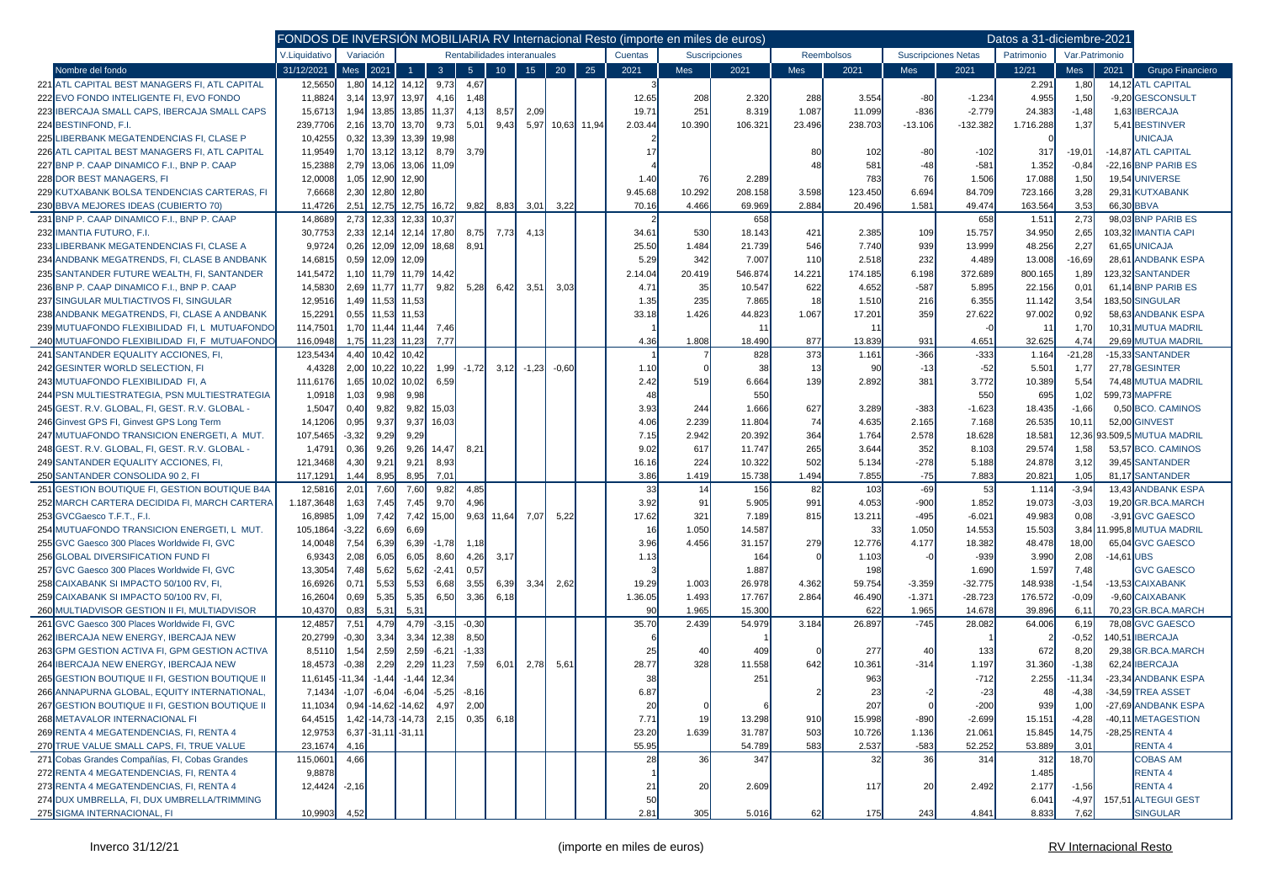|                                                 | FONDOS DE INVERSIÓN MOBILIARIA RV Internacional Resto (importe en miles de euros) |           |                           |         |                |                |                             |                 |                 |             |         |        |               |              |                   |           |                            | Datos a 31-diciembre-2021 |                 |              |                        |
|-------------------------------------------------|-----------------------------------------------------------------------------------|-----------|---------------------------|---------|----------------|----------------|-----------------------------|-----------------|-----------------|-------------|---------|--------|---------------|--------------|-------------------|-----------|----------------------------|---------------------------|-----------------|--------------|------------------------|
|                                                 | V.Liquidativo                                                                     | Variación |                           |         |                |                | Rentabilidades interanuales |                 |                 |             | Cuentas |        | Suscripciones |              | <b>Reembolsos</b> |           | <b>Suscripciones Netas</b> | Patrimonio                | Var. Patrimonio |              |                        |
| Nombre del fondo                                | 31/12/2021                                                                        | Mes       | 2021                      | -1      | $\overline{3}$ | 5 <sup>5</sup> | 10 <sup>°</sup>             | 15 <sup>2</sup> | 20 <sup>°</sup> | 25          | 2021    | Mes    | 2021          | Mes          | 2021              | Mes       | 2021                       | 12/21                     | Mes             | 2021         | Grupo Financiero       |
| 221 ATL CAPITAL BEST MANAGERS FI, ATL CAPITAL   | 12,5650                                                                           | 1,80      | 14,12                     | 14.12   | 9,73           | 4,67           |                             |                 |                 |             |         |        |               |              |                   |           |                            | 2.291                     | 1,80            |              | 14,12 ATL CAPITAL      |
| 222 EVO FONDO INTELIGENTE FI, EVO FONDO         | 11,8824                                                                           | 3,14      | 13,97                     | 13,97   | 4,16           | 1,48           |                             |                 |                 |             | 12.65   | 208    | 2.320         | 288          | 3.554             | $-80$     | $-1.234$                   | 4.955                     | 1,50            |              | -9,20 GESCONSULT       |
| 223 IBERCAJA SMALL CAPS. IBERCAJA SMALL CAPS    | 15,6713                                                                           | 1,94      | 13,85                     | 13,85   | 11,37          | 4,13           | 8,57                        | 2,09            |                 |             | 19.71   | 251    | 8.319         | 1.087        | 11.099            | $-836$    | $-2.779$                   | 24.383                    | $-1,48$         |              | 1,63 IBERCAJA          |
| 224 BESTINFOND, F.I.                            | 239,7706                                                                          | 2,16      | 13,70                     | 13,70   | 9,73           | 5,01           | 9,43                        | 5,97            |                 | 10,63 11,94 | 2.03.44 | 10.390 | 106.321       | 23.496       | 238.703           | $-13.106$ | $-132.382$                 | 1.716.288                 | 1,37            |              | 5,41 BESTINVER         |
| 225 LIBERBANK MEGATENDENCIAS FI, CLASE P        | 10,4255                                                                           |           | $0,32$ 13,39              | 13,39   | 19,98          |                |                             |                 |                 |             |         |        |               |              |                   |           |                            |                           |                 |              | <b>JNICAJA</b>         |
| 226 ATL CAPITAL BEST MANAGERS FI, ATL CAPITAL   | 11,9549                                                                           |           | 1,70 13,12                | 13,12   | 8,79           | 3,79           |                             |                 |                 |             | 17      |        |               | 80           | 102               | -80       | $-102$                     | 317                       | -19,01          |              | -14,87 ATL CAPITAL     |
| 227 BNP P. CAAP DINAMICO F.I., BNP P. CAAP      | 15,2388                                                                           |           | 2,79 13,06                | 13,06   | 11,09          |                |                             |                 |                 |             |         |        |               | $\mathbf{A}$ | 581               | $-48$     | $-581$                     | 1.352                     | $-0,84$         |              | -22,16 BNP PARIB ES    |
| 228 DOR BEST MANAGERS, FI                       | 12,0008                                                                           | 1,05      | 12,90                     | 12,90   |                |                |                             |                 |                 |             | 1.40    | 76     | 2.289         |              | 783               | 76        | 1.506                      | 17.088                    | 1,50            |              | 19.54 UNIVERSE         |
| 229 KUTXABANK BOLSA TENDENCIAS CARTERAS, FI     | 7,6668                                                                            | 2,30      | 12,80                     | 12,80   |                |                |                             |                 |                 |             | 9.45.68 | 10.292 | 208.158       | 3.598        | 123.450           | 6.694     | 84.709                     | 723.166                   | 3,28            |              | 29,31 KUTXABANK        |
| 230 BBVA MEJORES IDEAS (CUBIERTO 70)            | 11.4726                                                                           | 2.51      | 12,75                     | 12,75   | 16,72          | 9,82           | 8,83                        | 3,01            | 3,22            |             | 70.16   | 4.466  | 69.969        | 2.884        | 20.496            | 1.581     | 49.474                     | 163.564                   | 3,53            | 66.30 BBVA   |                        |
| 231 BNP P. CAAP DINAMICO F.I., BNP P. CAAP      | 14,8689                                                                           | 2,73      | 12,33                     | 12,33   | 10,37          |                |                             |                 |                 |             |         |        | 658           |              |                   |           | 658                        | 1.511                     | 2,73            |              | 98.03 BNP PARIB ES     |
| 232 IMANTIA FUTURO, F.I.                        | 30,7753                                                                           | 2,33      | 12,14                     | 12,14   | 17,80          | 8,75           | 7,73                        | 4,13            |                 |             | 34.61   | 530    | 18.143        | 421          | 2.385             | 109       | 15.757                     | 34.950                    | 2,65            |              | 103,32 IMANTIA CAPI    |
| 233 LIBERBANK MEGATENDENCIAS FI, CLASE A        | 9,9724                                                                            |           | $0,26$ 12,09              | 12,09   | 18,68          | 8,91           |                             |                 |                 |             | 25.50   | 1.484  | 21.739        | 546          | 7.740             | 939       | 13.999                     | 48.256                    | 2,27            |              | 61,65 UNICAJA          |
| 234 ANDBANK MEGATRENDS, FI, CLASE B ANDBANK     | 14,6815                                                                           | 0,59      | 12,09                     | 12,09   |                |                |                             |                 |                 |             | 5.29    | 342    | 7.007         | 110          | 2.518             | 232       | 4.489                      | 13.008                    | $-16,69$        |              | 28,61 ANDBANK ESPA     |
| 235 SANTANDER FUTURE WEALTH, FI, SANTANDER      | 141,5472                                                                          |           | $1,10$ 11,79              | 11,79   | 14,42          |                |                             |                 |                 |             | 2.14.04 | 20.419 | 546.874       | 14.221       | 174.185           | 6.198     | 372.689                    | 800.165                   | 1,89            |              | 123,32 SANTANDER       |
| 236 BNP P. CAAP DINAMICO F.I., BNP P. CAAP      | 14,5830                                                                           |           | 2,69 11,77                | 11,77   | 9,82           | 5,28           | 6,42                        | 3,51            | 3,03            |             | 4.7'    | 35     | 10.547        | 622          | 4.652             | $-587$    | 5.895                      | 22.156                    | 0,01            |              | 61,14 BNP PARIB ES     |
| 237 SINGULAR MULTIACTIVOS FI, SINGULAR          | 12,9516                                                                           |           | 1,49 11,53                | 11,53   |                |                |                             |                 |                 |             | 1.35    | 235    | 7.865         | 18           | 1.510             | 216       | 6.355                      | 11.142                    | 3,54            |              | 183,50 SINGULAR        |
| 238 ANDBANK MEGATRENDS, FI, CLASE A ANDBANK     | 15,2291                                                                           |           | $0,55$ 11,53              | 11,53   |                |                |                             |                 |                 |             | 33.18   | 1.426  | 44.823        | 1.067        | 17.201            | 359       | 27.622                     | 97.002                    | 0,92            |              | 58,63 ANDBANK ESPA     |
| 239 MUTUAFONDO FLEXIBILIDAD FI, L MUTUAFONDC    | 114,7501                                                                          |           | 1,70 11,44                | 11,44   | 7,46           |                |                             |                 |                 |             |         |        | 11            |              | 11                |           |                            | 11                        | 1,70            |              | 10,31 MUTUA MADRIL     |
| 240 MUTUAFONDO FLEXIBILIDAD FI, F MUTUAFONDO    | 116,0948                                                                          |           | 1.75 11.23                | 11.23   | 7,77           |                |                             |                 |                 |             | 4.36    | 1.808  | 18.490        | 877          | 13.839            | 931       | 4.651                      | 32.625                    | 4,74            |              | 29,69 MUTUA MADRIL     |
| 241 SANTANDER EQUALITY ACCIONES, FI,            | 123,5434                                                                          | 4,40      | 10,42                     | 10,42   |                |                |                             |                 |                 |             |         |        | 828           | 373          | 1.161             | $-366$    | $-333$                     | 1.164                     | $-21,28$        |              | -15,33 SANTANDER       |
| 242 GESINTER WORLD SELECTION, FI                | 4,4328                                                                            | 2,00      | 10,22                     | 10,22   | 1,99           | $-1,72$        | 3,12                        | $-1,23$         | $-0.60$         |             | 1.10    |        | 38            | 13           | 90                | $-13$     | $-52$                      | 5.501                     | 1,77            |              | 27,78 GESINTER         |
| 243 MUTUAFONDO FLEXIBILIDAD FI, A               | 111,6176                                                                          | 1,65      | 10,02                     | 10,02   | 6,59           |                |                             |                 |                 |             | 2.42    | 519    | 6.664         | 139          | 2.892             | 381       | 3.772                      | 10.389                    | 5,54            |              | 74,48 MUTUA MADRIL     |
| 244 PSN MULTIESTRATEGIA. PSN MULTIESTRATEGIA    | 1,0918                                                                            | 1,03      | 9,98                      | 9,98    |                |                |                             |                 |                 |             | 48      |        | 550           |              |                   |           | 550                        | 695                       | 1,02            |              | 599,73 MAPFRE          |
| 245 GEST. R.V. GLOBAL, FI, GEST. R.V. GLOBAL -  | 1,5047                                                                            | 0,40      | 9,82                      | 9,82    | 15,03          |                |                             |                 |                 |             | 3.93    | 244    | 1.666         | 627          | 3.289             | $-383$    | $-1.623$                   | 18.435                    | $-1,66$         |              | 0,50 BCO. CAMINOS      |
| 246 Ginvest GPS FI, Ginvest GPS Long Term       | 14,1206                                                                           | 0,95      | 9,37                      | 9,37    | 16,03          |                |                             |                 |                 |             | 4.06    | 2.239  | 11.804        | 74           | 4.635             | 2.165     | 7.168                      | 26.535                    | 10,11           |              | 52,00 GINVEST          |
| 247 MUTUAFONDO TRANSICION ENERGETI, A MUT.      | 107,5465                                                                          | $-3,32$   | 9,29                      | 9,29    |                |                |                             |                 |                 |             | 7.15    | 2.942  | 20.392        | 364          | 1.764             | 2.578     | 18.628                     | 18.581                    | 12,36           |              | 93.509,5 MUTUA MADRIL  |
| 248 GEST. R.V. GLOBAL, FI, GEST. R.V. GLOBAL -  | 1,4791                                                                            | 0,36      | 9,26                      | 9,26    | 14,47          | 8,21           |                             |                 |                 |             | 9.02    | 617    | 11.747        | 265          | 3.644             | 352       | 8.103                      | 29.574                    | 1,58            |              | 53,57 BCO. CAMINOS     |
| 249 SANTANDER EQUALITY ACCIONES, FI,            | 121,3468                                                                          | 4,30      | 9,21                      | 9,21    | 8,93           |                |                             |                 |                 |             | 16.16   | 224    | 10.322        | 502          | 5.134             | $-278$    | 5.188                      | 24.878                    | 3,12            |              | 39,45 SANTANDER        |
| 250 SANTANDER CONSOLIDA 90 2, FI                | 117.1291                                                                          | 1.44      | 8,95                      | 8.95    | 7.01           |                |                             |                 |                 |             | 3.86    | 1.419  | 15.738        | 1.494        | 7.855             | $-75$     | 7.883                      | 20.821                    | 1,05            |              | 81,17 SANTANDER        |
| 251 GESTION BOUTIQUE FI, GESTION BOUTIQUE B4A   | 12,5816                                                                           | 2,01      | 7,60                      | 7,60    | 9,82           | 4,85           |                             |                 |                 |             | 33      | -14    | 156           | 82           | 103               | $-69$     | 53                         | 1.114                     | $-3,94$         |              | 13.43 ANDBANK ESPA     |
| 252 MARCH CARTERA DECIDIDA FI, MARCH CARTERA    | 1.187,3648                                                                        | 1,63      | 7,45                      | 7,45    | 9,70           | 4,96           |                             |                 |                 |             | 3.92    | 91     | 5.905         | 991          | 4.053             | $-900$    | 1.852                      | 19.073                    | $-3,03$         |              | 19,20 GR.BCA.MARCH     |
| 253 GVCGaesco T.F.T., F.I.                      | 16,8985                                                                           | 1,09      | 7,42                      | 7,42    | 15,00          | 9,63           | 11,64                       | 7,07            | 5,22            |             | 17.62   | 321    | 7.189         | 815          | 13.211            | $-495$    | $-6.021$                   | 49.983                    | 0,08            |              | -3,91 GVC GAESCO       |
| 254 MUTUAFONDO TRANSICION ENERGETI, L MUT.      | 105,1864                                                                          | $-3,22$   | 6,69                      | 6,69    |                |                |                             |                 |                 |             | 16      | 1.050  | 14.587        |              | 33                | 1.050     | 14.553                     | 15.503                    | 3,84            |              | I 1.995,8 MUTUA MADRIL |
| 255 GVC Gaesco 300 Places Worldwide FI, GVC     | 14,0048                                                                           | 7,54      | 6,39                      | 6,39    | $-1,78$        | 1,18           |                             |                 |                 |             | 3.96    | 4.456  | 31.157        | 279          | 12.776            | 4.177     | 18.382                     | 48.478                    | 18,00           |              | 65,04 GVC GAESCO       |
| 256 GLOBAL DIVERSIFICATION FUND FI              | 6,9343                                                                            | 2,08      | 6,05                      | 6,05    | 8,60           | 4,26           | 3,17                        |                 |                 |             | 1.13    |        | 164           |              | 1.103             |           | $-939$                     | 3.990                     | 2,08            | $-14,61$ UBS |                        |
| 257 GVC Gaesco 300 Places Worldwide FI, GVC     | 13,3054                                                                           | 7,48      | 5,62                      | 5,62    | $-2,41$        | 0,57           |                             |                 |                 |             |         |        | 1.887         |              | 198               |           | 1.690                      | 1.597                     | 7,48            |              | <b>GVC GAESCO</b>      |
| 258 CAIXABANK SI IMPACTO 50/100 RV, FI.         | 16,6926                                                                           | 0,71      | 5,53                      | 5,53    | 6,68           | 3,55           | 6,39                        | 3,34            | 2,62            |             | 19.29   | 1.003  | 26.978        | 4.362        | 59.754            | $-3.359$  | $-32.775$                  | 148.938                   | $-1,54$         |              | -13,53 CAIXABANK       |
| 259 CAIXABANK SI IMPACTO 50/100 RV, FI,         | 16,2604                                                                           | 0,69      | 5,35                      | 5,35    | 6,50           | 3,36           | 6,18                        |                 |                 |             | 1.36.05 | 1.493  | 17.767        | 2.864        | 46.490            | $-1.371$  | $-28.723$                  | 176.572                   | $-0,09$         |              | -9,60 CAIXABANK        |
| 260 MULTIADVISOR GESTION II FI. MULTIADVISOR    | 10.4370                                                                           | 0.83      | 5,31                      | 5,31    |                |                |                             |                 |                 |             | 90      | 1.965  | 15.300        |              | 622               | 1.965     | 14.678                     | 39.896                    | 6,11            |              | 70,23 GR.BCA.MARCH     |
| 261 GVC Gaesco 300 Places Worldwide FI, GVC     | 12,4857                                                                           | 7,51      | 4,79                      | 4,79    | $-3,15$        | $-0,30$        |                             |                 |                 |             | 35.70   | 2.439  | 54.979        | 3.184        | 26.897            | $-745$    | 28.082                     | 64.006                    | 6,19            |              | 78,08 GVC GAESCO       |
| 262 IBERCAJA NEW ENERGY, IBERCAJA NEW           | 20,2799                                                                           | $-0,30$   | 3,34                      | 3,34    | 12,38          | 8,50           |                             |                 |                 |             |         |        |               |              |                   |           |                            |                           | $-0,52$         |              | 140,51 IBERCAJA        |
| 263 GPM GESTION ACTIVA FI, GPM GESTION ACTIVA   | 8,5110                                                                            | 1,54      | 2,59                      | 2,59    | $-6,21$        | $-1,33$        |                             |                 |                 |             | 25      | -40    | 409           |              | 277               | 40        | 133                        | 672                       | 8,20            |              | 29,38 GR.BCA.MARCH     |
| 264 IBERCAJA NEW ENERGY, IBERCAJA NEW           | 18,4573                                                                           | $-0,38$   | 2,29                      | 2,29    | 11,23          | 7,59           | 6,01                        | 2,78            | 5,61            |             | 28.77   | 328    | 11.558        | 642          | 10.361            | $-314$    | 1.197                      | 31.360                    | $-1,38$         |              | 62,24 IBERCAJA         |
| 265 GESTION BOUTIQUE II FI, GESTION BOUTIQUE II | 11,6145                                                                           | 11,34     | $-1,44$                   | $-1,44$ | 12,34          |                |                             |                 |                 |             | 38      |        | 251           |              | 963               |           | $-712$                     | 2.255                     | $-11,34$        |              | -23,34 ANDBANK ESPA    |
| 266 ANNAPURNA GLOBAL, EQUITY INTERNATIONAL,     | 7,1434                                                                            | $-1,07$   | $-6,04$                   | $-6,04$ | $-5,25$        | $-8,16$        |                             |                 |                 |             | 6.87    |        |               |              | 23                |           | $-23$                      | 48                        | $-4,38$         |              | -34,59 TREA ASSET      |
| 267 GESTION BOUTIQUE II FI, GESTION BOUTIQUE II | 11,1034                                                                           |           | $0,94$ -14,62 -14,62 4,97 |         |                | 2,00           |                             |                 |                 |             | 20      |        |               |              | 207               |           | $-200$                     | 939                       | 1,00            |              | -27,69 ANDBANK ESPA    |
| 268 METAVALOR INTERNACIONAL FI                  | 64,4515                                                                           |           | $1,42$ -14,73 -14,73 2,15 |         |                |                | $0.35$ 6.18                 |                 |                 |             | 7.71    | 19     | 13.298        | 910          | 15.998            | $-890$    | $-2.699$                   | 15.151                    | $-4,28$         |              | -40,11 METAGESTION     |
| 269 RENTA 4 MEGATENDENCIAS, FI, RENTA 4         | 12,9753                                                                           |           | $6,37$ -31,11 -31,11      |         |                |                |                             |                 |                 |             | 23.20   | 1.639  | 31.787        | 503          | 10.726            | 1.136     | 21.061                     | 15.845                    | 14,75           |              | -28,25 RENTA 4         |
| 270 TRUE VALUE SMALL CAPS, FI, TRUE VALUE       | 23,1674                                                                           | 4,16      |                           |         |                |                |                             |                 |                 |             | 55.95   |        | 54.789        | 583          | 2.537             | $-583$    | 52.252                     | 53.889                    | 3,01            |              | RENTA 4                |
| 271 Cobas Grandes Compañías, FI, Cobas Grandes  | 115,0601                                                                          | 4,66      |                           |         |                |                |                             |                 |                 |             | 28      | 36     | 347           |              | 32                | 36        | 314                        | 312                       | 18,70           |              | <b>COBAS AM</b>        |
| 272 RENTA 4 MEGATENDENCIAS, FI, RENTA 4         | 9,8878                                                                            |           |                           |         |                |                |                             |                 |                 |             |         |        |               |              |                   |           |                            | 1.485                     |                 |              | <b>RENTA4</b>          |
| 273 RENTA 4 MEGATENDENCIAS, FI, RENTA 4         | 12,4424                                                                           | $-2,16$   |                           |         |                |                |                             |                 |                 |             | 21      | 20     | 2.609         |              | 117               | 20        | 2.492                      | 2.177                     | $-1,56$         |              | <b>RENTA4</b>          |
| 274 DUX UMBRELLA, FI, DUX UMBRELLA/TRIMMING     |                                                                                   |           |                           |         |                |                |                             |                 |                 |             | 50      |        |               |              |                   |           |                            | 6.041                     | $-4,97$         |              | 157,51 ALTEGUI GEST    |
| 275 SIGMA INTERNACIONAL, FI                     | 10,9903                                                                           | 4,52      |                           |         |                |                |                             |                 |                 |             | 2.81    | 305    | 5.016         | 62           | 175               | 243       | 4.841                      | 8.833                     | 7,62            |              | <b>SINGULAR</b>        |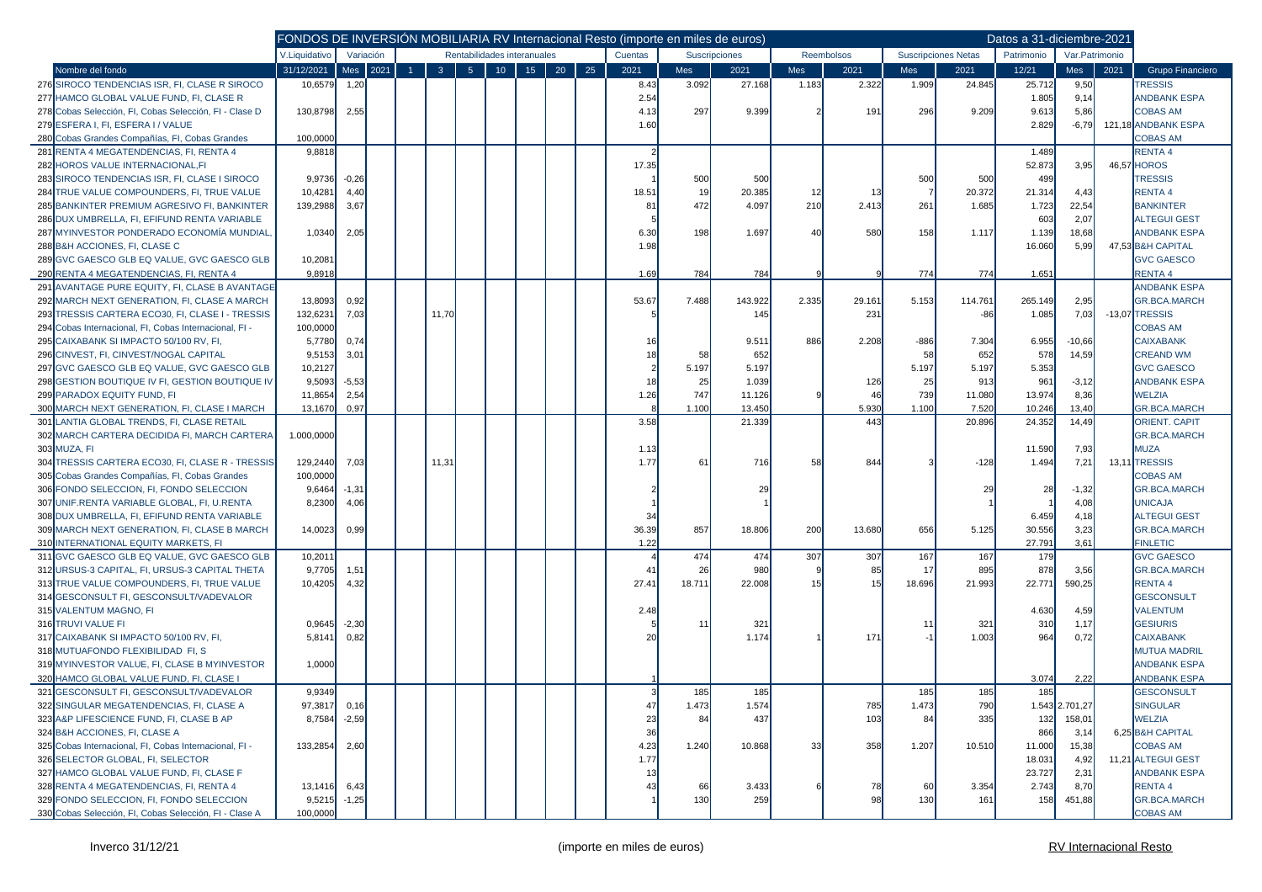|                                                        |               |           |      | FONDOS DE INVERSIÓN MOBILIARIA RV Internacional Resto (importe en miles de euros) |                |                             |        |    |    |    |         |       |               |       |                   |        |                            | Datos a 31-diciembre-2021 |                 |      |                      |
|--------------------------------------------------------|---------------|-----------|------|-----------------------------------------------------------------------------------|----------------|-----------------------------|--------|----|----|----|---------|-------|---------------|-------|-------------------|--------|----------------------------|---------------------------|-----------------|------|----------------------|
|                                                        | V.Liquidativo | Variación |      |                                                                                   |                | Rentabilidades interanuales |        |    |    |    | Cuentas |       | Suscripciones |       | <b>Reembolsos</b> |        | <b>Suscripciones Netas</b> | Patrimonio                | Var. Patrimonio |      |                      |
| Nombre del fondo                                       | 31/12/2021    | Mes       | 2021 | $\overline{1}$                                                                    | 3 <sup>2</sup> | 5 <sub>5</sub>              | $10\,$ | 15 | 20 | 25 | 2021    | Mes   | 2021          | Mes   | 2021              | Mes    | 2021                       | 12/21                     | Mes             | 2021 | Grupo Financiero     |
| 276 SIROCO TENDENCIAS ISR, FI, CLASE R SIROCO          | 10,6579       | 1,20      |      |                                                                                   |                |                             |        |    |    |    | 8.43    | 3.092 | 27.168        | 1.183 | 2.322             | 1.909  | 24.845                     | 25.712                    | 9,50            |      | <b>TRESSIS</b>       |
| 277 HAMCO GLOBAL VALUE FUND, FI, CLASE R               |               |           |      |                                                                                   |                |                             |        |    |    |    | 2.54    |       |               |       |                   |        |                            | 1.805                     | 9,14            |      | <b>ANDBANK ESPA</b>  |
| 278 Cobas Selección, Fl. Cobas Selección, Fl - Clase D | 130,8798      | 2,55      |      |                                                                                   |                |                             |        |    |    |    | 4.13    | 297   | 9.399         |       | 191               | 296    | 9.209                      | 9.613                     | 5,86            |      | <b>COBAS AM</b>      |
| 279 ESFERA I, FI, ESFERA I / VALUE                     |               |           |      |                                                                                   |                |                             |        |    |    |    | 1.60    |       |               |       |                   |        |                            | 2.829                     | $-6,79$         |      | 121,18 ANDBANK ESPA  |
| 280 Cobas Grandes Compañías, FI, Cobas Grandes         | 100,0000      |           |      |                                                                                   |                |                             |        |    |    |    |         |       |               |       |                   |        |                            |                           |                 |      | <b>COBAS AM</b>      |
| 281 RENTA 4 MEGATENDENCIAS, FI, RENTA 4                | 9,8818        |           |      |                                                                                   |                |                             |        |    |    |    |         |       |               |       |                   |        |                            | 1.489                     |                 |      | <b>RENTA4</b>        |
| 282 HOROS VALUE INTERNACIONAL, FI                      |               |           |      |                                                                                   |                |                             |        |    |    |    | 17.35   |       |               |       |                   |        |                            | 52.873                    | 3,95            |      | 46,57 HOROS          |
| 283 SIROCO TENDENCIAS ISR. FI. CLASE I SIROCO          | 9,9736        | $-0,26$   |      |                                                                                   |                |                             |        |    |    |    |         | 500   | 500           |       |                   | 500    | 500                        | 499                       |                 |      | <b>TRESSIS</b>       |
| 284 TRUE VALUE COMPOUNDERS, FI, TRUE VALUE             | 10,4281       | 4,40      |      |                                                                                   |                |                             |        |    |    |    | 18.51   | 19    | 20.385        | 12    | 13                |        | 20.372                     | 21.314                    | 4,43            |      | <b>RENTA4</b>        |
| 285 BANKINTER PREMIUM AGRESIVO FI, BANKINTER           | 139,2988      | 3,67      |      |                                                                                   |                |                             |        |    |    |    | 81      | 472   | 4.097         | 210   | 2.413             | 261    | 1.685                      | 1.723                     | 22,54           |      | <b>BANKINTER</b>     |
| 286 DUX UMBRELLA, FI, EFIFUND RENTA VARIABLE           |               |           |      |                                                                                   |                |                             |        |    |    |    |         |       |               |       |                   |        |                            | 603                       | 2,07            |      | <b>ALTEGUI GEST</b>  |
| 287 MYINVESTOR PONDERADO ECONOMÍA MUNDIAL              | 1,0340        | 2,05      |      |                                                                                   |                |                             |        |    |    |    | 6.30    | 198   | 1.697         | 40    | 580               | 158    | 1.117                      | 1.139                     | 18,68           |      | <b>ANDBANK ESPA</b>  |
| 288 B&H ACCIONES, FI. CLASE C                          |               |           |      |                                                                                   |                |                             |        |    |    |    | 1.98    |       |               |       |                   |        |                            | 16.060                    | 5,99            |      | 47,53 B&H CAPITAL    |
| 289 GVC GAESCO GLB EQ VALUE, GVC GAESCO GLB            | 10,2081       |           |      |                                                                                   |                |                             |        |    |    |    |         |       |               |       |                   |        |                            |                           |                 |      | <b>GVC GAESCO</b>    |
| 290 RENTA 4 MEGATENDENCIAS, FI, RENTA 4                | 9,8918        |           |      |                                                                                   |                |                             |        |    |    |    | 1.69    | 784   | 784           |       |                   | 774    | 774                        | 1.651                     |                 |      | <b>RENTA4</b>        |
| 291 AVANTAGE PURE EQUITY, FI, CLASE B AVANTAGE         |               |           |      |                                                                                   |                |                             |        |    |    |    |         |       |               |       |                   |        |                            |                           |                 |      | <b>ANDBANK ESPA</b>  |
| 292 MARCH NEXT GENERATION, FI, CLASE A MARCH           | 13,8093       | 0,92      |      |                                                                                   |                |                             |        |    |    |    | 53.67   | 7.488 | 143.922       | 2.335 | 29.161            | 5.153  | 114.761                    | 265.149                   | 2,95            |      | <b>GR.BCA.MARCH</b>  |
| 293<br>TRESSIS CARTERA ECO30, FI, CLASE I - TRESSIS    | 132,6231      | 7,03      |      |                                                                                   | 11,70          |                             |        |    |    |    |         |       | 145           |       | 231               |        | -86                        | 1.085                     | 7,03            |      | -13,07 TRESSIS       |
| 294 Cobas Internacional, FI, Cobas Internacional, FI - | 100,0000      |           |      |                                                                                   |                |                             |        |    |    |    |         |       |               |       |                   |        |                            |                           |                 |      | <b>COBAS AM</b>      |
| 295 CAIXABANK SI IMPACTO 50/100 RV. FI.                | 5,7780        | 0,74      |      |                                                                                   |                |                             |        |    |    |    |         |       | 9.511         | 886   | 2.208             | $-886$ | 7.304                      | 6.955                     | $-10,66$        |      | <b>CAIXABANK</b>     |
| 296 CINVEST, FI, CINVEST/NOGAL CAPITAL                 | 9,5153        | 3,01      |      |                                                                                   |                |                             |        |    |    |    |         | 58    | 652           |       |                   | 58     | 652                        | 578                       | 14,59           |      | <b>CREAND WM</b>     |
| 297 GVC GAESCO GLB EQ VALUE, GVC GAESCO GLB            | 10,2127       |           |      |                                                                                   |                |                             |        |    |    |    |         | 5.197 | 5.197         |       |                   | 5.197  | 5.197                      | 5.353                     |                 |      | <b>GVC GAESCO</b>    |
| 298 GESTION BOUTIQUE IV FI. GESTION BOUTIQUE IV        | 9,5093        | $-5,53$   |      |                                                                                   |                |                             |        |    |    |    | 18      | 25    | 1.039         |       | 126               | 25     | 913                        | 961                       | $-3,12$         |      | <b>ANDBANK ESPA</b>  |
| 299 PARADOX EQUITY FUND, FI                            | 11,8654       | 2,54      |      |                                                                                   |                |                             |        |    |    |    | 1.26    | 747   | 11.126        |       | 46                | 739    | 11.080                     | 13.974                    | 8,36            |      | <b>WELZIA</b>        |
| 300 MARCH NEXT GENERATION, FI, CLASE I MARCH           | 13,1670       | 0.97      |      |                                                                                   |                |                             |        |    |    |    |         | 1.100 | 13.450        |       | 5.930             | 1.100  | 7.520                      | 10.246                    | 13,40           |      | <b>GR.BCA.MARCH</b>  |
| 301 LANTIA GLOBAL TRENDS, FI, CLASE RETAIL             |               |           |      |                                                                                   |                |                             |        |    |    |    | 3.58    |       | 21.339        |       | 443               |        | 20.896                     | 24.352                    | 14,49           |      | <b>ORIENT. CAPIT</b> |
| 302 MARCH CARTERA DECIDIDA FI, MARCH CARTERA           | 1.000,0000    |           |      |                                                                                   |                |                             |        |    |    |    |         |       |               |       |                   |        |                            |                           |                 |      | <b>GR.BCA.MARCH</b>  |
| 303 MUZA, FI                                           |               |           |      |                                                                                   |                |                             |        |    |    |    | 1.13    |       |               |       |                   |        |                            | 11.590                    | 7,93            |      | MUZA                 |
| 304 TRESSIS CARTERA ECO30, FI. CLASE R - TRESSIS       | 129,2440      | 7,03      |      |                                                                                   | 11,31          |                             |        |    |    |    | 1.77    | 61    | <b>716</b>    | 58    | 844               |        | $-128$                     | 1.494                     | 7,21            |      | 13,11 TRESSIS        |
| 305 Cobas Grandes Compañías, FI, Cobas Grandes         | 100,0000      |           |      |                                                                                   |                |                             |        |    |    |    |         |       |               |       |                   |        |                            |                           |                 |      | <b>COBAS AM</b>      |
| 306 FONDO SELECCION, FI, FONDO SELECCION               | 9,6464        | $-1,31$   |      |                                                                                   |                |                             |        |    |    |    |         |       |               |       |                   |        | 29                         | 28                        | $-1,32$         |      | <b>GR.BCA.MARCH</b>  |
| 307 UNIF.RENTA VARIABLE GLOBAL, FI, U.RENTA            | 8,2300        | 4,06      |      |                                                                                   |                |                             |        |    |    |    |         |       |               |       |                   |        |                            |                           | 4,08            |      | <b>UNICAJA</b>       |
| 308 DUX UMBRELLA, FI, EFIFUND RENTA VARIABLE           |               |           |      |                                                                                   |                |                             |        |    |    |    | -34     |       |               |       |                   |        |                            | 6.459                     | 4,18            |      | <b>ALTEGUI GEST</b>  |
| 309 MARCH NEXT GENERATION, FI, CLASE B MARCH           | 14,0023       | 0,99      |      |                                                                                   |                |                             |        |    |    |    | 36.39   | 857   | 18.806        | 200   | 13.680            | 656    | 5.125                      | 30.556                    | 3,23            |      | <b>GR.BCA.MARCH</b>  |
| 310 INTERNATIONAL EQUITY MARKETS, FI                   |               |           |      |                                                                                   |                |                             |        |    |    |    | 1.22    |       |               |       |                   |        |                            | 27.791                    | 3,61            |      | <b>FINLETIC</b>      |
| 311 GVC GAESCO GLB EQ VALUE, GVC GAESCO GLB            | 10,2011       |           |      |                                                                                   |                |                             |        |    |    |    |         | 474   | 474           | 307   | 307               | 167    | 167                        | 179                       |                 |      | <b>GVC GAESCO</b>    |
| 312 URSUS-3 CAPITAL, FI, URSUS-3 CAPITAL THETA         | 9,7705        | 1,51      |      |                                                                                   |                |                             |        |    |    |    | 41      | 26    | 980           |       | 85                | 17     | 895                        | 878                       | 3,56            |      | <b>GR.BCA.MARCH</b>  |
| 313 TRUE VALUE COMPOUNDERS, FI, TRUE VALUE             | 10,4205       | 4,32      |      |                                                                                   |                |                             |        |    |    |    | 27.41   | 18.71 | 22.008        |       | 15                | 18.696 | 21.993                     | 22.771                    | 590,25          |      | <b>RENTA4</b>        |
| 314 GESCONSULT FI, GESCONSULT/VADEVALOR                |               |           |      |                                                                                   |                |                             |        |    |    |    |         |       |               |       |                   |        |                            |                           |                 |      | <b>GESCONSULT</b>    |
| 315 VALENTUM MAGNO, FI                                 |               |           |      |                                                                                   |                |                             |        |    |    |    | 2.48    |       |               |       |                   |        |                            | 4.630                     | 4,59            |      | <b>VALENTUM</b>      |
| 316 TRUVI VALUE FI                                     | 0,9645        | $-2,30$   |      |                                                                                   |                |                             |        |    |    |    |         | 11    | 321           |       |                   | -11    | 321                        | 310                       | 1,17            |      | <b>GESIURIS</b>      |
| 317 CAIXABANK SI IMPACTO 50/100 RV, FI,                | 5,8141        | 0,82      |      |                                                                                   |                |                             |        |    |    |    |         |       | 1.174         |       | 171               |        | 1.003                      | 964                       | 0,72            |      | <b>CAIXABANK</b>     |
| 318 MUTUAFONDO FLEXIBILIDAD FI, S                      |               |           |      |                                                                                   |                |                             |        |    |    |    |         |       |               |       |                   |        |                            |                           |                 |      | <b>MUTUA MADRIL</b>  |
| 319 MYINVESTOR VALUE, FI, CLASE B MYINVESTOR           | 1,0000        |           |      |                                                                                   |                |                             |        |    |    |    |         |       |               |       |                   |        |                            |                           |                 |      | <b>ANDBANK ESPA</b>  |
| 320 HAMCO GLOBAL VALUE FUND, FI, CLASE I               |               |           |      |                                                                                   |                |                             |        |    |    |    |         |       |               |       |                   |        |                            | 3.074                     | 2,22            |      | <b>ANDBANK ESPA</b>  |
| 321 GESCONSULT FI. GESCONSULT/VADEVALOR                | 9,9349        |           |      |                                                                                   |                |                             |        |    |    |    |         | 185   | 185           |       |                   | 185    | 185                        | 185                       |                 |      | <b>GESCONSULT</b>    |
| 322 SINGULAR MEGATENDENCIAS, FI, CLASE A               | 97,3817       | 0, 16     |      |                                                                                   |                |                             |        |    |    |    |         | 1.473 | 1.574         |       | 785               | 1.473  | 790                        |                           | 1.543 2.701,27  |      | <b>SINGULAR</b>      |
| 323 A&P LIFESCIENCE FUND, FI, CLASE B AP               | 8,7584 -2,59  |           |      |                                                                                   |                |                             |        |    |    |    | 23      | 84    | 437           |       | 103               | 84     | 335                        | 132                       | 158,01          |      | <b>WELZIA</b>        |
| 324 B&H ACCIONES. FI. CLASE A                          |               |           |      |                                                                                   |                |                             |        |    |    |    | 36      |       |               |       |                   |        |                            | 866                       | 3,14            |      | 6,25 B&H CAPITAL     |
| 325 Cobas Internacional, FI, Cobas Internacional, FI - | 133,2854      | 2,60      |      |                                                                                   |                |                             |        |    |    |    | 4.23    | 1.240 | 10.868        | 33    | 358               | 1.207  | 10.510                     | 11.000                    | 15,38           |      | <b>COBAS AM</b>      |
| 326 SELECTOR GLOBAL, FI, SELECTOR                      |               |           |      |                                                                                   |                |                             |        |    |    |    | 1.77    |       |               |       |                   |        |                            | 18.031                    | 4,92            |      | 11,21 ALTEGUI GEST   |
| 327 HAMCO GLOBAL VALUE FUND, FI, CLASE F               |               |           |      |                                                                                   |                |                             |        |    |    |    |         |       |               |       |                   |        |                            |                           | 2,31            |      | <b>ANDBANK ESPA</b>  |
| 328 RENTA 4 MEGATENDENCIAS, FI, RENTA 4                |               |           |      |                                                                                   |                |                             |        |    |    |    | 13      |       |               |       |                   |        |                            | 23.727                    |                 |      | RENTA 4              |
| 329 FONDO SELECCION, FI, FONDO SELECCION               | 13,1416       | 6,43      |      |                                                                                   |                |                             |        |    |    |    |         | 66    | 3.433         |       | 78                | 60     | 3.354                      | 2.743                     | 8,70            |      | <b>GR.BCA.MARCH</b>  |
|                                                        | 9,5215        | $-1,25$   |      |                                                                                   |                |                             |        |    |    |    |         | 130   | 259           |       | 98                | 130    | 161                        | 158                       | 451,88          |      |                      |
| 330 Cobas Selección, FI, Cobas Selección, FI - Clase A | 100,0000      |           |      |                                                                                   |                |                             |        |    |    |    |         |       |               |       |                   |        |                            |                           |                 |      | <b>COBAS AM</b>      |